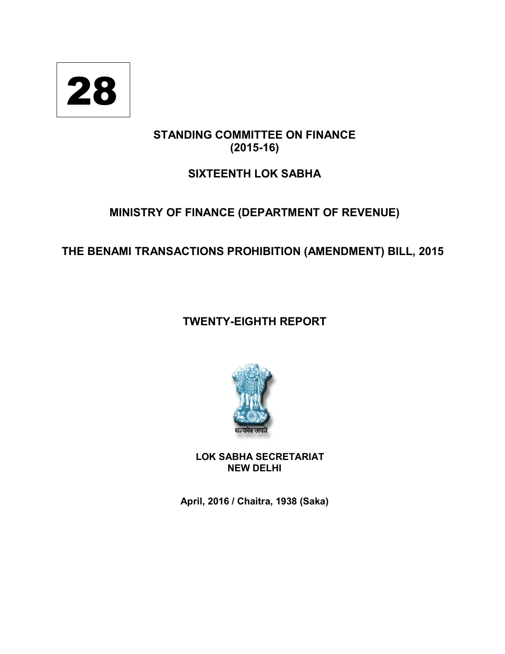

# **STANDING COMMITTEE ON FINANCE (2015-16)**

# **SIXTEENTH LOK SABHA**

# **MINISTRY OF FINANCE (DEPARTMENT OF REVENUE)**

# **THE BENAMI TRANSACTIONS PROHIBITION (AMENDMENT) BILL, 2015**

# **TWENTY-EIGHTH REPORT**



**LOK SABHA SECRETARIAT NEW DELHI**

**April, 2016 / Chaitra, 1938 (Saka)**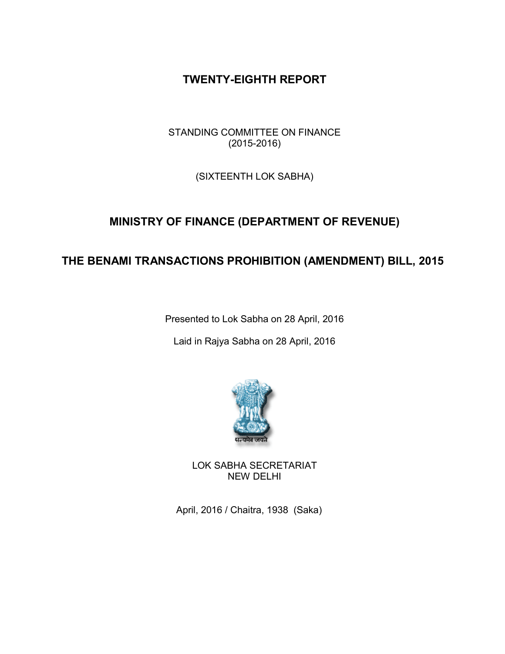## **TWENTY-EIGHTH REPORT**

STANDING COMMITTEE ON FINANCE (2015-2016)

(SIXTEENTH LOK SABHA)

# **MINISTRY OF FINANCE (DEPARTMENT OF REVENUE)**

# **THE BENAMI TRANSACTIONS PROHIBITION (AMENDMENT) BILL, 2015**

Presented to Lok Sabha on 28 April, 2016

Laid in Rajya Sabha on 28 April, 2016



LOK SABHA SECRETARIAT NEW DELHI

April, 2016 / Chaitra, 1938 (Saka)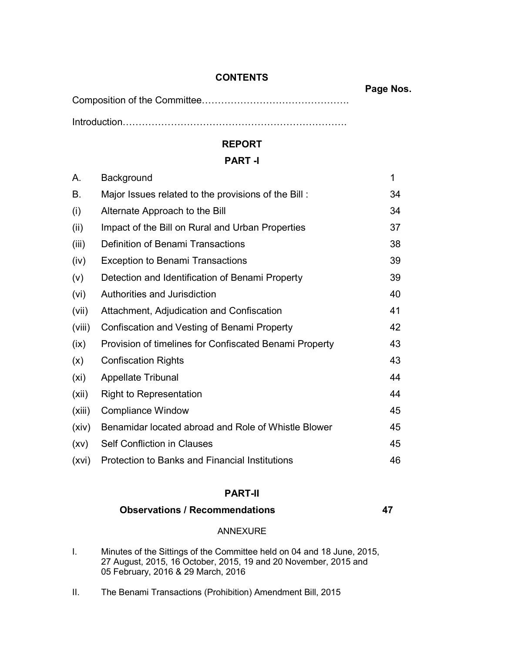## **CONTENTS**

**Page Nos.**

Composition of the Committee……………………………………….

Introduction…………………………………………………………….

## **REPORT**

## **PART -I**

| А.     | Background                                             | 1  |
|--------|--------------------------------------------------------|----|
| В.     | Major Issues related to the provisions of the Bill:    | 34 |
| (i)    | Alternate Approach to the Bill                         | 34 |
| (ii)   | Impact of the Bill on Rural and Urban Properties       | 37 |
| (iii)  | Definition of Benami Transactions                      | 38 |
| (iv)   | <b>Exception to Benami Transactions</b>                | 39 |
| (v)    | Detection and Identification of Benami Property        | 39 |
| (vi)   | Authorities and Jurisdiction                           | 40 |
| (vii)  | Attachment, Adjudication and Confiscation              | 41 |
| (viii) | Confiscation and Vesting of Benami Property            | 42 |
| (ix)   | Provision of timelines for Confiscated Benami Property | 43 |
| (x)    | <b>Confiscation Rights</b>                             | 43 |
| (xi)   | <b>Appellate Tribunal</b>                              | 44 |
| (xii)  | <b>Right to Representation</b>                         | 44 |
| (xiii) | <b>Compliance Window</b>                               | 45 |
| (xiv)  | Benamidar located abroad and Role of Whistle Blower    | 45 |
| (xv)   | <b>Self Confliction in Clauses</b>                     | 45 |
| (xvi)  | <b>Protection to Banks and Financial Institutions</b>  | 46 |

## **PART-II**

## **Observations / Recommendations 47**

## ANNEXURE

- I. Minutes of the Sittings of the Committee held on 04 and 18 June, 2015, 27 August, 2015, 16 October, 2015, 19 and 20 November, 2015 and 05 February, 2016 & 29 March, 2016
- II. The Benami Transactions (Prohibition) Amendment Bill, 2015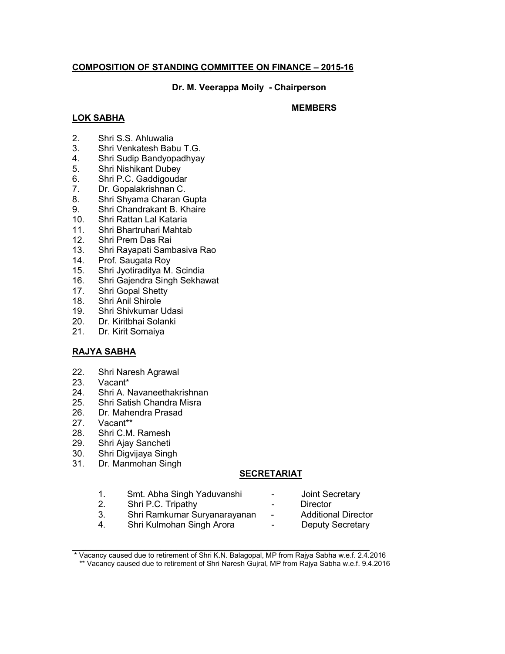### **COMPOSITION OF STANDING COMMITTEE ON FINANCE – 2015-16**

**Dr. M. Veerappa Moily - Chairperson**

### **LOK SABHA**

### **MEMBERS**

- 2. Shri S.S. Ahluwalia
- 3. Shri Venkatesh Babu T.G.
- 4. Shri Sudip Bandyopadhyay
- 5. Shri Nishikant Dubey
- 6. Shri P.C. Gaddigoudar
- 7. Dr. Gopalakrishnan C.
- 8. Shri Shyama Charan Gupta
- 9. Shri Chandrakant B. Khaire
- 10. Shri Rattan Lal Kataria
- 11. Shri Bhartruhari Mahtab
- 12. Shri Prem Das Rai
- 13. Shri Rayapati Sambasiva Rao
- 14. Prof. Saugata Roy
- 15. Shri Jyotiraditya M. Scindia
- 16. Shri Gajendra Singh Sekhawat
- 17. Shri Gopal Shetty
- 18. Shri Anil Shirole
- 19. Shri Shivkumar Udasi
- 20. Dr. Kiritbhai Solanki
- 21. Dr. Kirit Somaiya

### **RAJYA SABHA**

- 22. Shri Naresh Agrawal<br>23. Vacant\*
- Vacant\*
- 24. Shri A. Navaneethakrishnan
- 25. Shri Satish Chandra Misra
- 26. Dr. Mahendra Prasad
- 27. Vacant\*\*<br>28. Shri C.M
- Shri C.M. Ramesh
- 29. Shri Ajay Sancheti
- 30. Shri Digvijaya Singh
- 31. Dr. Manmohan Singh

### **SECRETARIAT**

- 1. Smt. Abha Singh Yaduvanshi Joint Secretary
- Shri P.C. Tripathy
- 3. Shri Ramkumar Suryanarayanan Additional Director
- 4. Shri Kulmohan Singh Arora  **Deputy Secretary**
- 
- 
- -

 $\mathcal{L}_\text{max} = \mathcal{L}_\text{max} = \mathcal{L}_\text{max} = \mathcal{L}_\text{max} = \mathcal{L}_\text{max} = \mathcal{L}_\text{max} = \mathcal{L}_\text{max} = \mathcal{L}_\text{max} = \mathcal{L}_\text{max} = \mathcal{L}_\text{max} = \mathcal{L}_\text{max} = \mathcal{L}_\text{max} = \mathcal{L}_\text{max} = \mathcal{L}_\text{max} = \mathcal{L}_\text{max} = \mathcal{L}_\text{max} = \mathcal{L}_\text{max} = \mathcal{L}_\text{max} = \mathcal{$ 

<sup>\*</sup> Vacancy caused due to retirement of Shri K.N. Balagopal, MP from Rajya Sabha w.e.f. 2.4.2016

<sup>\*\*</sup> Vacancy caused due to retirement of Shri Naresh Gujral, MP from Rajya Sabha w.e.f. 9.4.2016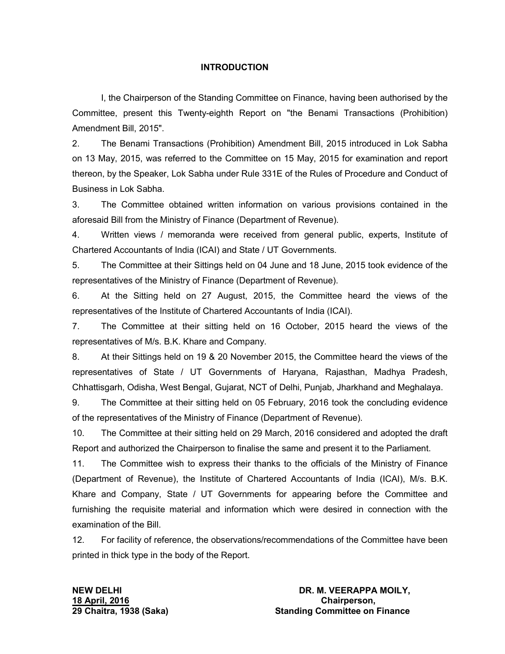### **INTRODUCTION**

I, the Chairperson of the Standing Committee on Finance, having been authorised by the Committee, present this Twenty-eighth Report on "the Benami Transactions (Prohibition) Amendment Bill, 2015".

2. The Benami Transactions (Prohibition) Amendment Bill, 2015 introduced in Lok Sabha on 13 May, 2015, was referred to the Committee on 15 May, 2015 for examination and report thereon, by the Speaker, Lok Sabha under Rule 331E of the Rules of Procedure and Conduct of Business in Lok Sabha.

3. The Committee obtained written information on various provisions contained in the aforesaid Bill from the Ministry of Finance (Department of Revenue).

4. Written views / memoranda were received from general public, experts, Institute of Chartered Accountants of India (ICAI) and State / UT Governments.

5. The Committee at their Sittings held on 04 June and 18 June, 2015 took evidence of the representatives of the Ministry of Finance (Department of Revenue).

6. At the Sitting held on 27 August, 2015, the Committee heard the views of the representatives of the Institute of Chartered Accountants of India (ICAI).

7. The Committee at their sitting held on 16 October, 2015 heard the views of the representatives of M/s. B.K. Khare and Company.

8. At their Sittings held on 19 & 20 November 2015, the Committee heard the views of the representatives of State / UT Governments of Haryana, Rajasthan, Madhya Pradesh, Chhattisgarh, Odisha, West Bengal, Gujarat, NCT of Delhi, Punjab, Jharkhand and Meghalaya.

9. The Committee at their sitting held on 05 February, 2016 took the concluding evidence of the representatives of the Ministry of Finance (Department of Revenue).

10. The Committee at their sitting held on 29 March, 2016 considered and adopted the draft Report and authorized the Chairperson to finalise the same and present it to the Parliament.

11. The Committee wish to express their thanks to the officials of the Ministry of Finance (Department of Revenue), the Institute of Chartered Accountants of India (ICAI), M/s. B.K. Khare and Company, State / UT Governments for appearing before the Committee and furnishing the requisite material and information which were desired in connection with the examination of the Bill.

12. For facility of reference, the observations/recommendations of the Committee have been printed in thick type in the body of the Report.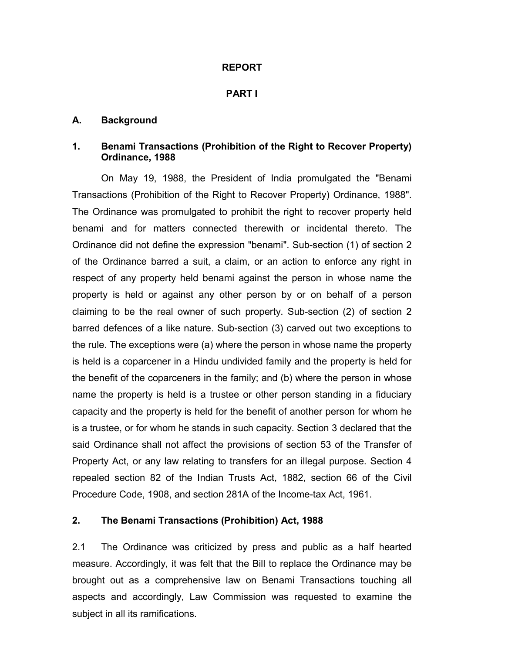### **REPORT**

### **PART I**

### **A. Background**

### **1. Benami Transactions (Prohibition of the Right to Recover Property) Ordinance, 1988**

On May 19, 1988, the President of India promulgated the "Benami Transactions (Prohibition of the Right to Recover Property) Ordinance, 1988". The Ordinance was promulgated to prohibit the right to recover property held benami and for matters connected therewith or incidental thereto. The Ordinance did not define the expression "benami". Sub-section (1) of section 2 of the Ordinance barred a suit, a claim, or an action to enforce any right in respect of any property held benami against the person in whose name the property is held or against any other person by or on behalf of a person claiming to be the real owner of such property. Sub-section (2) of section 2 barred defences of a like nature. Sub-section (3) carved out two exceptions to the rule. The exceptions were (a) where the person in whose name the property is held is a coparcener in a Hindu undivided family and the property is held for the benefit of the coparceners in the family; and (b) where the person in whose name the property is held is a trustee or other person standing in a fiduciary capacity and the property is held for the benefit of another person for whom he is a trustee, or for whom he stands in such capacity. Section 3 declared that the said Ordinance shall not affect the provisions of section 53 of the Transfer of Property Act, or any law relating to transfers for an illegal purpose. Section 4 repealed section 82 of the Indian Trusts Act, 1882, section 66 of the Civil Procedure Code, 1908, and section 281A of the Income-tax Act, 1961.

### **2. The Benami Transactions (Prohibition) Act, 1988**

2.1 The Ordinance was criticized by press and public as a half hearted measure. Accordingly, it was felt that the Bill to replace the Ordinance may be brought out as a comprehensive law on Benami Transactions touching all aspects and accordingly, Law Commission was requested to examine the subject in all its ramifications.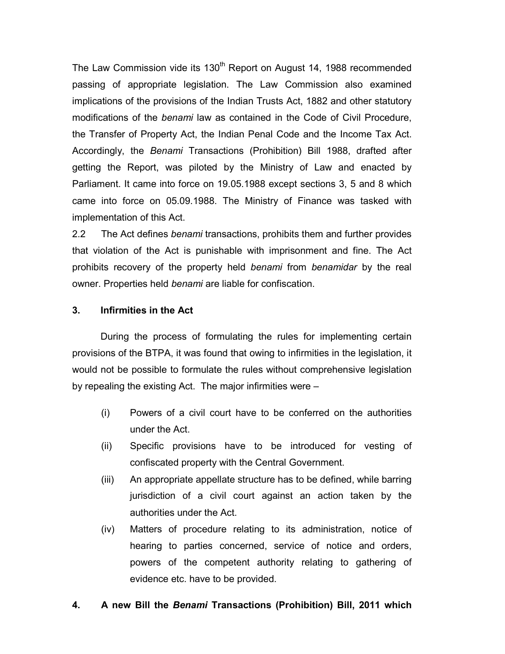The Law Commission vide its 130<sup>th</sup> Report on August 14, 1988 recommended passing of appropriate legislation. The Law Commission also examined implications of the provisions of the Indian Trusts Act, 1882 and other statutory modifications of the *benami* law as contained in the Code of Civil Procedure, the Transfer of Property Act, the Indian Penal Code and the Income Tax Act. Accordingly, the *Benami* Transactions (Prohibition) Bill 1988, drafted after getting the Report, was piloted by the Ministry of Law and enacted by Parliament. It came into force on 19.05.1988 except sections 3, 5 and 8 which came into force on 05.09.1988. The Ministry of Finance was tasked with implementation of this Act.

2.2 The Act defines *benami* transactions, prohibits them and further provides that violation of the Act is punishable with imprisonment and fine. The Act prohibits recovery of the property held *benami* from *benamidar* by the real owner. Properties held *benami* are liable for confiscation.

### **3. Infirmities in the Act**

During the process of formulating the rules for implementing certain provisions of the BTPA, it was found that owing to infirmities in the legislation, it would not be possible to formulate the rules without comprehensive legislation by repealing the existing Act. The major infirmities were –

- (i) Powers of a civil court have to be conferred on the authorities under the Act.
- (ii) Specific provisions have to be introduced for vesting of confiscated property with the Central Government.
- (iii) An appropriate appellate structure has to be defined, while barring jurisdiction of a civil court against an action taken by the authorities under the Act.
- (iv) Matters of procedure relating to its administration, notice of hearing to parties concerned, service of notice and orders, powers of the competent authority relating to gathering of evidence etc. have to be provided.

### **4. A new Bill the** *Benami* **Transactions (Prohibition) Bill, 2011 which**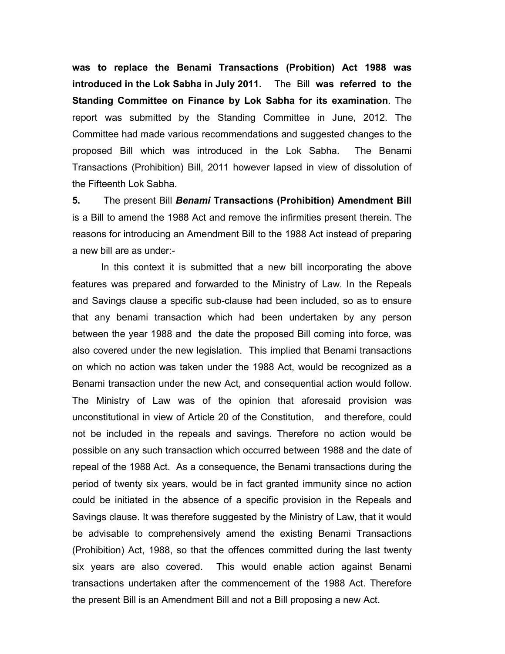**was to replace the Benami Transactions (Probition) Act 1988 was introduced in the Lok Sabha in July 2011.** The Bill **was referred to the Standing Committee on Finance by Lok Sabha for its examination**. The report was submitted by the Standing Committee in June, 2012. The Committee had made various recommendations and suggested changes to the proposed Bill which was introduced in the Lok Sabha. The Benami Transactions (Prohibition) Bill, 2011 however lapsed in view of dissolution of the Fifteenth Lok Sabha.

**5.** The present Bill *Benami* **Transactions (Prohibition) Amendment Bill**  is a Bill to amend the 1988 Act and remove the infirmities present therein. The reasons for introducing an Amendment Bill to the 1988 Act instead of preparing a new bill are as under:-

In this context it is submitted that a new bill incorporating the above features was prepared and forwarded to the Ministry of Law. In the Repeals and Savings clause a specific sub-clause had been included, so as to ensure that any benami transaction which had been undertaken by any person between the year 1988 and the date the proposed Bill coming into force, was also covered under the new legislation. This implied that Benami transactions on which no action was taken under the 1988 Act, would be recognized as a Benami transaction under the new Act, and consequential action would follow. The Ministry of Law was of the opinion that aforesaid provision was unconstitutional in view of Article 20 of the Constitution, and therefore, could not be included in the repeals and savings. Therefore no action would be possible on any such transaction which occurred between 1988 and the date of repeal of the 1988 Act. As a consequence, the Benami transactions during the period of twenty six years, would be in fact granted immunity since no action could be initiated in the absence of a specific provision in the Repeals and Savings clause. It was therefore suggested by the Ministry of Law, that it would be advisable to comprehensively amend the existing Benami Transactions (Prohibition) Act, 1988, so that the offences committed during the last twenty six years are also covered. This would enable action against Benami transactions undertaken after the commencement of the 1988 Act. Therefore the present Bill is an Amendment Bill and not a Bill proposing a new Act.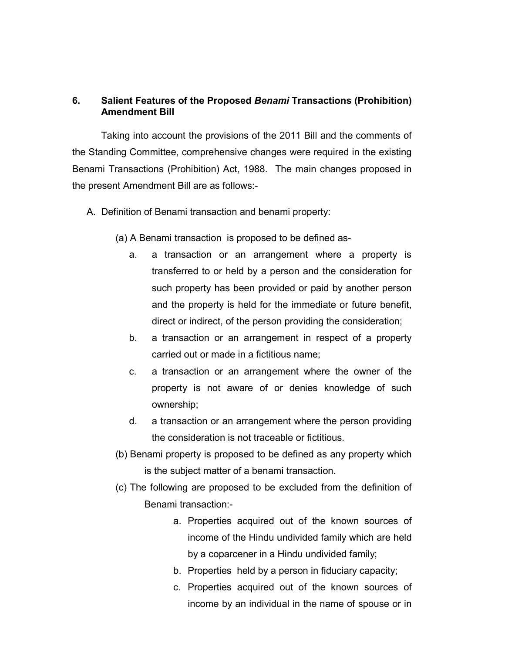## **6. Salient Features of the Proposed** *Benami* **Transactions (Prohibition) Amendment Bill**

Taking into account the provisions of the 2011 Bill and the comments of the Standing Committee, comprehensive changes were required in the existing Benami Transactions (Prohibition) Act, 1988. The main changes proposed in the present Amendment Bill are as follows:-

- A. Definition of Benami transaction and benami property:
	- (a) A Benami transaction is proposed to be defined as
		- a. a transaction or an arrangement where a property is transferred to or held by a person and the consideration for such property has been provided or paid by another person and the property is held for the immediate or future benefit, direct or indirect, of the person providing the consideration;
		- b. a transaction or an arrangement in respect of a property carried out or made in a fictitious name;
		- c. a transaction or an arrangement where the owner of the property is not aware of or denies knowledge of such ownership;
		- d. a transaction or an arrangement where the person providing the consideration is not traceable or fictitious.
	- (b) Benami property is proposed to be defined as any property which is the subject matter of a benami transaction.
	- (c) The following are proposed to be excluded from the definition of Benami transaction:
		- a. Properties acquired out of the known sources of income of the Hindu undivided family which are held by a coparcener in a Hindu undivided family;
		- b. Properties held by a person in fiduciary capacity;
		- c. Properties acquired out of the known sources of income by an individual in the name of spouse or in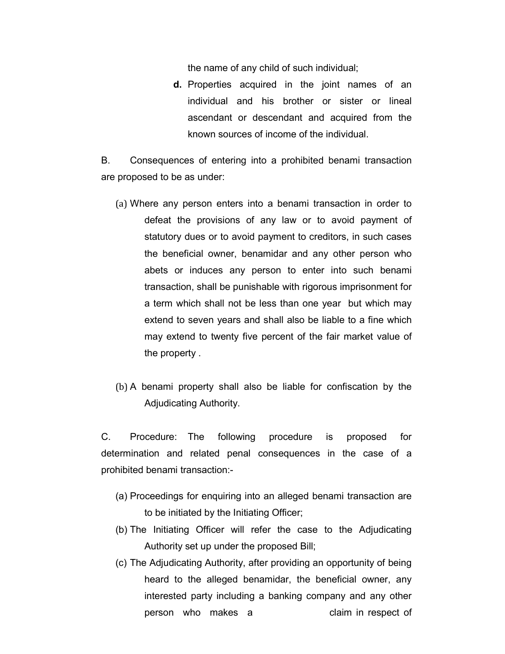the name of any child of such individual;

**d.** Properties acquired in the joint names of an individual and his brother or sister or lineal ascendant or descendant and acquired from the known sources of income of the individual.

B. Consequences of entering into a prohibited benami transaction are proposed to be as under:

- (a) Where any person enters into a benami transaction in order to defeat the provisions of any law or to avoid payment of statutory dues or to avoid payment to creditors, in such cases the beneficial owner, benamidar and any other person who abets or induces any person to enter into such benami transaction, shall be punishable with rigorous imprisonment for a term which shall not be less than one year but which may extend to seven years and shall also be liable to a fine which may extend to twenty five percent of the fair market value of the property .
- (b) A benami property shall also be liable for confiscation by the Adjudicating Authority.

C. Procedure: The following procedure is proposed for determination and related penal consequences in the case of a prohibited benami transaction:-

- (a) Proceedings for enquiring into an alleged benami transaction are to be initiated by the Initiating Officer;
- (b) The Initiating Officer will refer the case to the Adjudicating Authority set up under the proposed Bill;
- (c) The Adjudicating Authority, after providing an opportunity of being heard to the alleged benamidar, the beneficial owner, any interested party including a banking company and any other person who makes a claim in respect of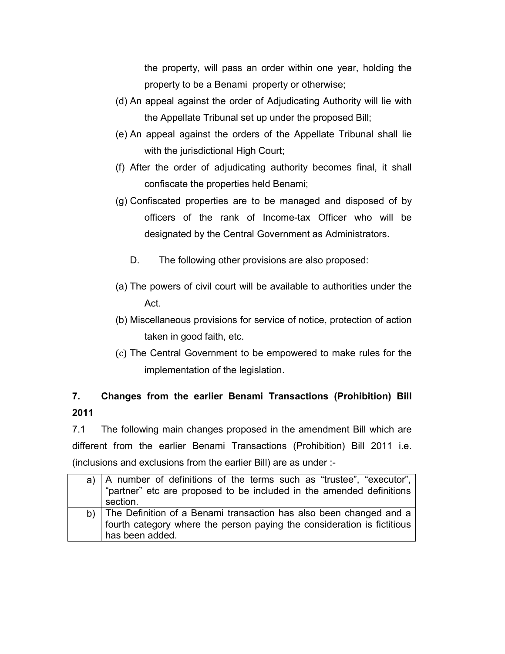the property, will pass an order within one year, holding the property to be a Benami property or otherwise;

- (d) An appeal against the order of Adjudicating Authority will lie with the Appellate Tribunal set up under the proposed Bill;
- (e) An appeal against the orders of the Appellate Tribunal shall lie with the jurisdictional High Court;
- (f) After the order of adjudicating authority becomes final, it shall confiscate the properties held Benami;
- (g) Confiscated properties are to be managed and disposed of by officers of the rank of Income-tax Officer who will be designated by the Central Government as Administrators.
	- D. The following other provisions are also proposed:
- (a) The powers of civil court will be available to authorities under the Act.
- (b) Miscellaneous provisions for service of notice, protection of action taken in good faith, etc.
- (c) The Central Government to be empowered to make rules for the implementation of the legislation.

# **7. Changes from the earlier Benami Transactions (Prohibition) Bill 2011**

7.1 The following main changes proposed in the amendment Bill which are different from the earlier Benami Transactions (Prohibition) Bill 2011 i.e. (inclusions and exclusions from the earlier Bill) are as under :-

| a) $ A$ number of definitions of the terms such as "trustee", "executor", $ $<br>"partner" etc are proposed to be included in the amended definitions |
|-------------------------------------------------------------------------------------------------------------------------------------------------------|
| section.                                                                                                                                              |
| b) The Definition of a Benami transaction has also been changed and a                                                                                 |
| fourth category where the person paying the consideration is fictitious                                                                               |
| has been added.                                                                                                                                       |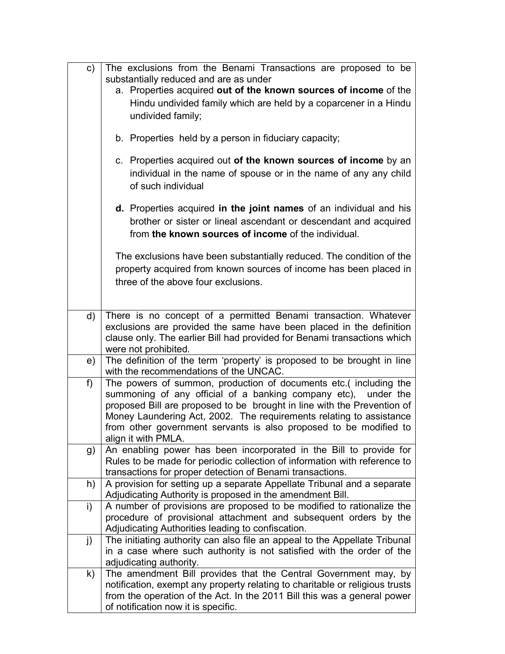| c)           | The exclusions from the Benami Transactions are proposed to be                                                                                                                                |  |  |
|--------------|-----------------------------------------------------------------------------------------------------------------------------------------------------------------------------------------------|--|--|
|              | substantially reduced and are as under                                                                                                                                                        |  |  |
|              | a. Properties acquired out of the known sources of income of the                                                                                                                              |  |  |
|              | Hindu undivided family which are held by a coparcener in a Hindu                                                                                                                              |  |  |
|              | undivided family;                                                                                                                                                                             |  |  |
|              | b. Properties held by a person in fiduciary capacity;                                                                                                                                         |  |  |
|              | c. Properties acquired out of the known sources of income by an<br>individual in the name of spouse or in the name of any any child<br>of such individual                                     |  |  |
|              | d. Properties acquired in the joint names of an individual and his<br>brother or sister or lineal ascendant or descendant and acquired<br>from the known sources of income of the individual. |  |  |
|              | The exclusions have been substantially reduced. The condition of the<br>property acquired from known sources of income has been placed in<br>three of the above four exclusions.              |  |  |
|              |                                                                                                                                                                                               |  |  |
| d)           | There is no concept of a permitted Benami transaction. Whatever                                                                                                                               |  |  |
|              | exclusions are provided the same have been placed in the definition<br>clause only. The earlier Bill had provided for Benami transactions which                                               |  |  |
|              | were not prohibited.                                                                                                                                                                          |  |  |
| e)           | The definition of the term 'property' is proposed to be brought in line                                                                                                                       |  |  |
|              | with the recommendations of the UNCAC.                                                                                                                                                        |  |  |
| f)           | The powers of summon, production of documents etc.( including the                                                                                                                             |  |  |
|              | summoning of any official of a banking company etc), under the                                                                                                                                |  |  |
|              | proposed Bill are proposed to be brought in line with the Prevention of                                                                                                                       |  |  |
|              | Money Laundering Act, 2002. The requirements relating to assistance                                                                                                                           |  |  |
|              | from other government servants is also proposed to be modified to                                                                                                                             |  |  |
|              | align it with PMLA.<br>An enabling power has been incorporated in the Bill to provide for                                                                                                     |  |  |
| g)           | Rules to be made for periodic collection of information with reference to                                                                                                                     |  |  |
|              | transactions for proper detection of Benami transactions.                                                                                                                                     |  |  |
| h)           | A provision for setting up a separate Appellate Tribunal and a separate                                                                                                                       |  |  |
|              | Adjudicating Authority is proposed in the amendment Bill.                                                                                                                                     |  |  |
| $\mathsf{i}$ | A number of provisions are proposed to be modified to rationalize the                                                                                                                         |  |  |
|              | procedure of provisional attachment and subsequent orders by the                                                                                                                              |  |  |
|              | Adjudicating Authorities leading to confiscation.                                                                                                                                             |  |  |
| j)           | The initiating authority can also file an appeal to the Appellate Tribunal                                                                                                                    |  |  |
|              | in a case where such authority is not satisfied with the order of the                                                                                                                         |  |  |
|              | adjudicating authority.                                                                                                                                                                       |  |  |
| k)           | The amendment Bill provides that the Central Government may, by                                                                                                                               |  |  |
|              | notification, exempt any property relating to charitable or religious trusts                                                                                                                  |  |  |
|              | from the operation of the Act. In the 2011 Bill this was a general power                                                                                                                      |  |  |
|              | of notification now it is specific.                                                                                                                                                           |  |  |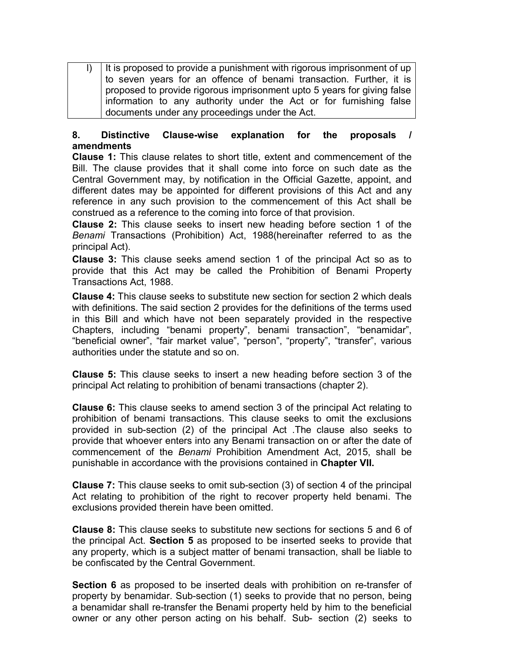| $\vert$ )   It is proposed to provide a punishment with rigorous imprisonment of up |
|-------------------------------------------------------------------------------------|
| to seven years for an offence of benami transaction. Further, it is                 |
| proposed to provide rigorous imprisonment upto 5 years for giving false             |
| information to any authority under the Act or for furnishing false                  |
| documents under any proceedings under the Act.                                      |

## **8. Distinctive Clause-wise explanation for the proposals / amendments**

**Clause 1:** This clause relates to short title, extent and commencement of the Bill. The clause provides that it shall come into force on such date as the Central Government may, by notification in the Official Gazette, appoint, and different dates may be appointed for different provisions of this Act and any reference in any such provision to the commencement of this Act shall be construed as a reference to the coming into force of that provision.

**Clause 2:** This clause seeks to insert new heading before section 1 of the *Benami* Transactions (Prohibition) Act, 1988(hereinafter referred to as the principal Act).

**Clause 3:** This clause seeks amend section 1 of the principal Act so as to provide that this Act may be called the Prohibition of Benami Property Transactions Act, 1988.

**Clause 4:** This clause seeks to substitute new section for section 2 which deals with definitions. The said section 2 provides for the definitions of the terms used in this Bill and which have not been separately provided in the respective Chapters, including "benami property", benami transaction", "benamidar", "beneficial owner", "fair market value", "person", "property", "transfer", various authorities under the statute and so on.

**Clause 5:** This clause seeks to insert a new heading before section 3 of the principal Act relating to prohibition of benami transactions (chapter 2).

**Clause 6:** This clause seeks to amend section 3 of the principal Act relating to prohibition of benami transactions. This clause seeks to omit the exclusions provided in sub-section (2) of the principal Act .The clause also seeks to provide that whoever enters into any Benami transaction on or after the date of commencement of the *Benami* Prohibition Amendment Act, 2015, shall be punishable in accordance with the provisions contained in **Chapter VII.**

**Clause 7:** This clause seeks to omit sub-section (3) of section 4 of the principal Act relating to prohibition of the right to recover property held benami. The exclusions provided therein have been omitted.

**Clause 8:** This clause seeks to substitute new sections for sections 5 and 6 of the principal Act. **Section 5** as proposed to be inserted seeks to provide that any property, which is a subject matter of benami transaction, shall be liable to be confiscated by the Central Government.

**Section 6** as proposed to be inserted deals with prohibition on re-transfer of property by benamidar. Sub-section (1) seeks to provide that no person, being a benamidar shall re-transfer the Benami property held by him to the beneficial owner or any other person acting on his behalf. Sub- section (2) seeks to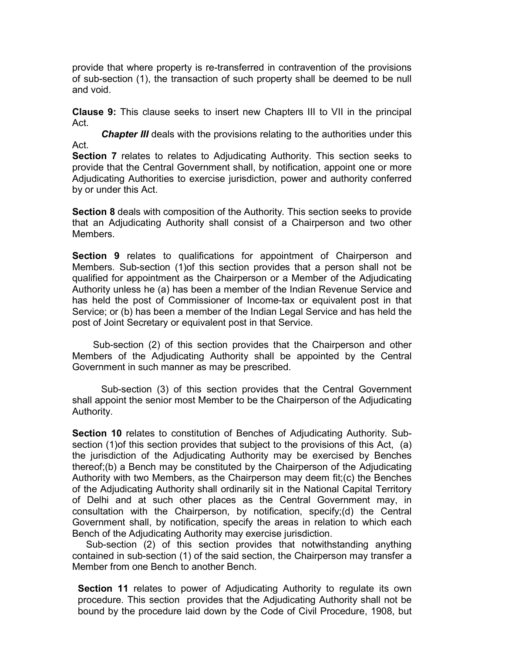provide that where property is re-transferred in contravention of the provisions of sub-section (1), the transaction of such property shall be deemed to be null and void.

**Clause 9:** This clause seeks to insert new Chapters III to VII in the principal Act.

*Chapter III* deals with the provisions relating to the authorities under this Act.

**Section 7** relates to relates to Adjudicating Authority. This section seeks to provide that the Central Government shall, by notification, appoint one or more Adjudicating Authorities to exercise jurisdiction, power and authority conferred by or under this Act.

**Section 8** deals with composition of the Authority*.* This section seeks to provide that an Adjudicating Authority shall consist of a Chairperson and two other Members.

**Section 9** relates to qualifications for appointment of Chairperson and Members. Sub-section (1)of this section provides that a person shall not be qualified for appointment as the Chairperson or a Member of the Adjudicating Authority unless he (a) has been a member of the Indian Revenue Service and has held the post of Commissioner of Income-tax or equivalent post in that Service; or (b) has been a member of the Indian Legal Service and has held the post of Joint Secretary or equivalent post in that Service.

 Sub-section (2) of this section provides that the Chairperson and other Members of the Adjudicating Authority shall be appointed by the Central Government in such manner as may be prescribed.

Sub-section (3) of this section provides that the Central Government shall appoint the senior most Member to be the Chairperson of the Adjudicating Authority.

**Section 10** relates to constitution of Benches of Adjudicating Authority*.* Subsection (1)of this section provides that subject to the provisions of this Act, (a) the jurisdiction of the Adjudicating Authority may be exercised by Benches thereof;(b) a Bench may be constituted by the Chairperson of the Adjudicating Authority with two Members, as the Chairperson may deem fit;(c) the Benches of the Adjudicating Authority shall ordinarily sit in the National Capital Territory of Delhi and at such other places as the Central Government may, in consultation with the Chairperson, by notification, specify;(d) the Central Government shall, by notification, specify the areas in relation to which each Bench of the Adjudicating Authority may exercise jurisdiction.

Sub-section (2) of this section provides that notwithstanding anything contained in sub-section (1) of the said section, the Chairperson may transfer a Member from one Bench to another Bench.

**Section 11** relates to power of Adjudicating Authority to regulate its own procedure. This section provides that the Adjudicating Authority shall not be bound by the procedure laid down by the Code of Civil Procedure, 1908, but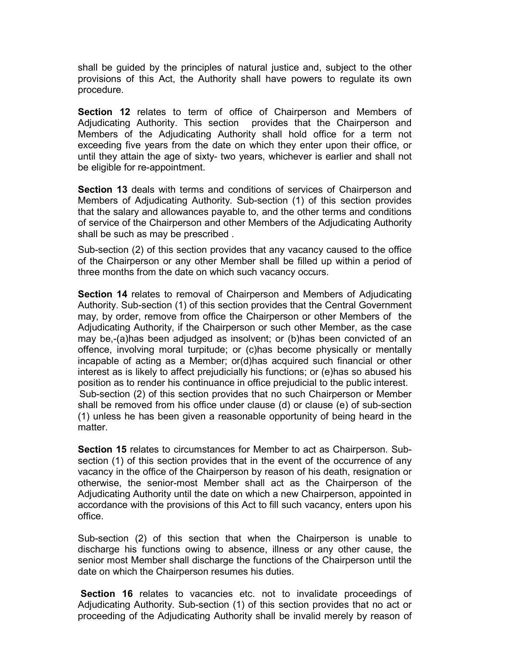shall be guided by the principles of natural justice and, subject to the other provisions of this Act, the Authority shall have powers to regulate its own procedure.

**Section 12** relates to term of office of Chairperson and Members of Adjudicating Authority. This section provides that the Chairperson and Members of the Adjudicating Authority shall hold office for a term not exceeding five years from the date on which they enter upon their office, or until they attain the age of sixty- two years, whichever is earlier and shall not be eligible for re-appointment.

**Section 13** deals with terms and conditions of services of Chairperson and Members of Adjudicating Authority. Sub-section (1) of this section provides that the salary and allowances payable to, and the other terms and conditions of service of the Chairperson and other Members of the Adjudicating Authority shall be such as may be prescribed .

Sub-section (2) of this section provides that any vacancy caused to the office of the Chairperson or any other Member shall be filled up within a period of three months from the date on which such vacancy occurs.

**Section 14** relates to removal of Chairperson and Members of Adjudicating Authority. Sub-section (1) of this section provides that the Central Government may, by order, remove from office the Chairperson or other Members of the Adjudicating Authority, if the Chairperson or such other Member, as the case may be,-(a)has been adjudged as insolvent; or (b)has been convicted of an offence, involving moral turpitude; or (c)has become physically or mentally incapable of acting as a Member; or(d)has acquired such financial or other interest as is likely to affect prejudicially his functions; or (e)has so abused his position as to render his continuance in office prejudicial to the public interest. Sub-section (2) of this section provides that no such Chairperson or Member shall be removed from his office under clause (d) or clause (e) of sub-section (1) unless he has been given a reasonable opportunity of being heard in the matter.

**Section 15** relates to circumstances for Member to act as Chairperson. Subsection (1) of this section provides that in the event of the occurrence of any vacancy in the office of the Chairperson by reason of his death, resignation or otherwise, the senior-most Member shall act as the Chairperson of the Adjudicating Authority until the date on which a new Chairperson, appointed in accordance with the provisions of this Act to fill such vacancy, enters upon his office.

Sub-section (2) of this section that when the Chairperson is unable to discharge his functions owing to absence, illness or any other cause, the senior most Member shall discharge the functions of the Chairperson until the date on which the Chairperson resumes his duties.

**Section 16** relates to vacancies etc. not to invalidate proceedings of Adjudicating Authority. Sub-section (1) of this section provides that no act or proceeding of the Adjudicating Authority shall be invalid merely by reason of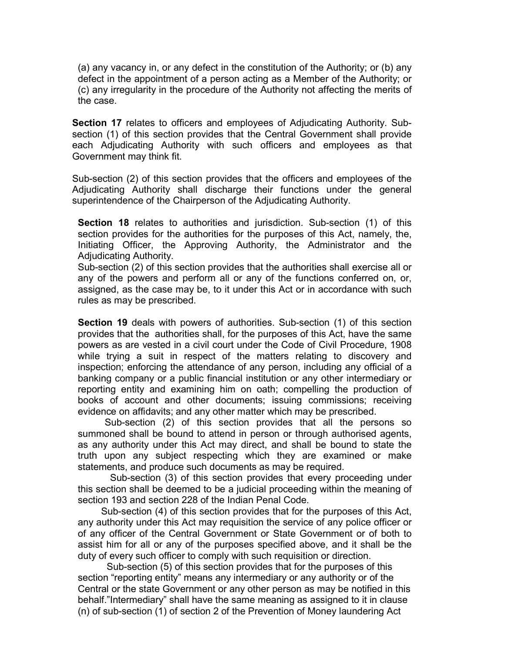(a) any vacancy in, or any defect in the constitution of the Authority; or (b) any defect in the appointment of a person acting as a Member of the Authority; or (c) any irregularity in the procedure of the Authority not affecting the merits of the case.

**Section 17** relates to officers and employees of Adjudicating Authority. Subsection (1) of this section provides that the Central Government shall provide each Adjudicating Authority with such officers and employees as that Government may think fit.

Sub-section (2) of this section provides that the officers and employees of the Adjudicating Authority shall discharge their functions under the general superintendence of the Chairperson of the Adjudicating Authority.

**Section 18** relates to authorities and jurisdiction. Sub-section (1) of this section provides for the authorities for the purposes of this Act, namely, the, Initiating Officer, the Approving Authority, the Administrator and the Adjudicating Authority.

Sub-section (2) of this section provides that the authorities shall exercise all or any of the powers and perform all or any of the functions conferred on, or, assigned, as the case may be, to it under this Act or in accordance with such rules as may be prescribed.

**Section 19** deals with powers of authorities. Sub-section (1) of this section provides that the authorities shall, for the purposes of this Act, have the same powers as are vested in a civil court under the Code of Civil Procedure, 1908 while trying a suit in respect of the matters relating to discovery and inspection; enforcing the attendance of any person, including any official of a banking company or a public financial institution or any other intermediary or reporting entity and examining him on oath; compelling the production of books of account and other documents; issuing commissions; receiving evidence on affidavits; and any other matter which may be prescribed.

 Sub-section (2) of this section provides that all the persons so summoned shall be bound to attend in person or through authorised agents, as any authority under this Act may direct, and shall be bound to state the truth upon any subject respecting which they are examined or make statements, and produce such documents as may be required.

 Sub-section (3) of this section provides that every proceeding under this section shall be deemed to be a judicial proceeding within the meaning of section 193 and section 228 of the Indian Penal Code.

Sub-section (4) of this section provides that for the purposes of this Act, any authority under this Act may requisition the service of any police officer or of any officer of the Central Government or State Government or of both to assist him for all or any of the purposes specified above, and it shall be the duty of every such officer to comply with such requisition or direction.

Sub-section (5) of this section provides that for the purposes of this section "reporting entity" means any intermediary or any authority or of the Central or the state Government or any other person as may be notified in this behalf."Intermediary" shall have the same meaning as assigned to it in clause (n) of sub-section (1) of section 2 of the Prevention of Money laundering Act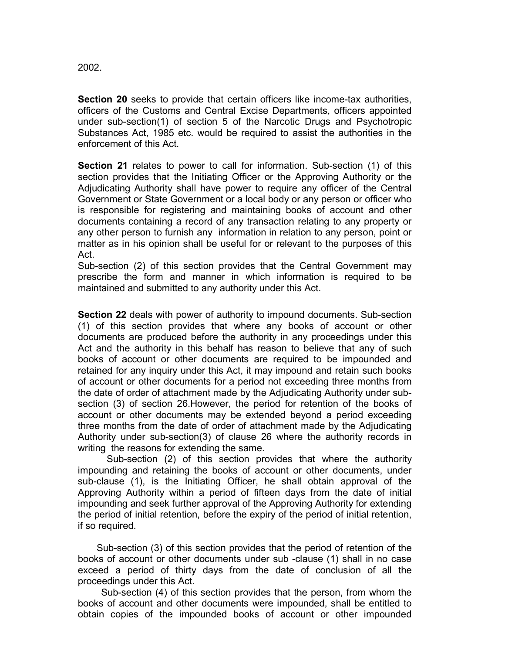2002.

**Section 20** seeks to provide that certain officers like income-tax authorities, officers of the Customs and Central Excise Departments, officers appointed under sub-section(1) of section 5 of the Narcotic Drugs and Psychotropic Substances Act, 1985 etc. would be required to assist the authorities in the enforcement of this Act.

**Section 21** relates to power to call for information. Sub-section (1) of this section provides that the Initiating Officer or the Approving Authority or the Adjudicating Authority shall have power to require any officer of the Central Government or State Government or a local body or any person or officer who is responsible for registering and maintaining books of account and other documents containing a record of any transaction relating to any property or any other person to furnish any information in relation to any person, point or matter as in his opinion shall be useful for or relevant to the purposes of this Act.

Sub-section (2) of this section provides that the Central Government may prescribe the form and manner in which information is required to be maintained and submitted to any authority under this Act.

**Section 22** deals with power of authority to impound documents. Sub-section (1) of this section provides that where any books of account or other documents are produced before the authority in any proceedings under this Act and the authority in this behalf has reason to believe that any of such books of account or other documents are required to be impounded and retained for any inquiry under this Act, it may impound and retain such books of account or other documents for a period not exceeding three months from the date of order of attachment made by the Adjudicating Authority under subsection (3) of section 26.However, the period for retention of the books of account or other documents may be extended beyond a period exceeding three months from the date of order of attachment made by the Adjudicating Authority under sub-section(3) of clause 26 where the authority records in writing the reasons for extending the same.

Sub-section (2) of this section provides that where the authority impounding and retaining the books of account or other documents, under sub-clause (1), is the Initiating Officer, he shall obtain approval of the Approving Authority within a period of fifteen days from the date of initial impounding and seek further approval of the Approving Authority for extending the period of initial retention, before the expiry of the period of initial retention, if so required.

 Sub-section (3) of this section provides that the period of retention of the books of account or other documents under sub -clause (1) shall in no case exceed a period of thirty days from the date of conclusion of all the proceedings under this Act.

Sub-section (4) of this section provides that the person, from whom the books of account and other documents were impounded, shall be entitled to obtain copies of the impounded books of account or other impounded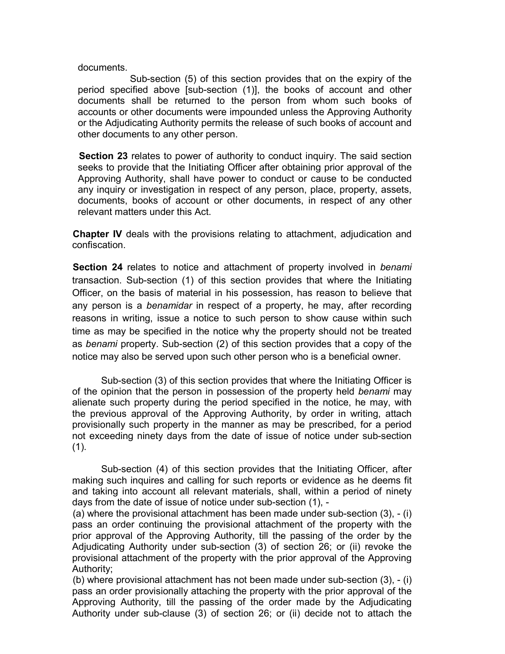### documents.

Sub-section (5) of this section provides that on the expiry of the period specified above [sub-section (1)], the books of account and other documents shall be returned to the person from whom such books of accounts or other documents were impounded unless the Approving Authority or the Adjudicating Authority permits the release of such books of account and other documents to any other person.

**Section 23** relates to power of authority to conduct inquiry. The said section seeks to provide that the Initiating Officer after obtaining prior approval of the Approving Authority, shall have power to conduct or cause to be conducted any inquiry or investigation in respect of any person, place, property, assets, documents, books of account or other documents, in respect of any other relevant matters under this Act.

**Chapter IV** deals with the provisions relating to attachment, adjudication and confiscation.

**Section 24** relates to notice and attachment of property involved in *benami* transaction. Sub-section (1) of this section provides that where the Initiating Officer, on the basis of material in his possession, has reason to believe that any person is a *benamidar* in respect of a property, he may, after recording reasons in writing, issue a notice to such person to show cause within such time as may be specified in the notice why the property should not be treated as *benami* property. Sub-section (2) of this section provides that a copy of the notice may also be served upon such other person who is a beneficial owner.

Sub-section (3) of this section provides that where the Initiating Officer is of the opinion that the person in possession of the property held *benami* may alienate such property during the period specified in the notice, he may, with the previous approval of the Approving Authority, by order in writing, attach provisionally such property in the manner as may be prescribed, for a period not exceeding ninety days from the date of issue of notice under sub-section  $(1)$ .

Sub-section (4) of this section provides that the Initiating Officer, after making such inquires and calling for such reports or evidence as he deems fit and taking into account all relevant materials, shall, within a period of ninety days from the date of issue of notice under sub-section (1), -

(a) where the provisional attachment has been made under sub-section (3), - (i) pass an order continuing the provisional attachment of the property with the prior approval of the Approving Authority, till the passing of the order by the Adjudicating Authority under sub-section (3) of section 26; or (ii) revoke the provisional attachment of the property with the prior approval of the Approving Authority;

(b) where provisional attachment has not been made under sub-section (3), - (i) pass an order provisionally attaching the property with the prior approval of the Approving Authority, till the passing of the order made by the Adjudicating Authority under sub-clause (3) of section 26; or (ii) decide not to attach the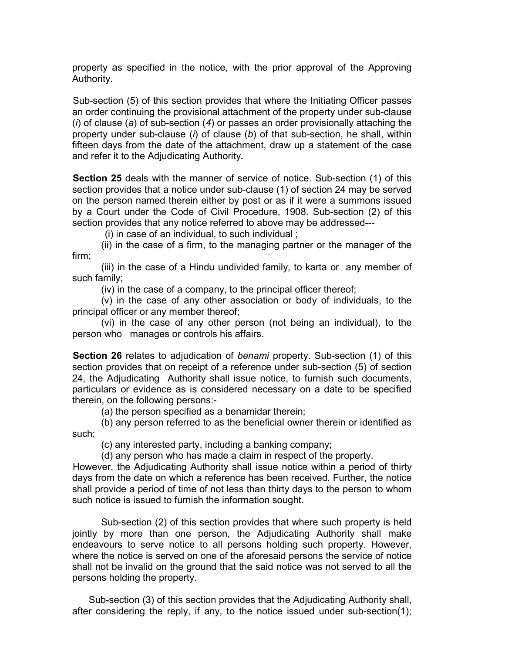property as specified in the notice, with the prior approval of the Approving Authority.

Sub-section (5) of this section provides that where the Initiating Officer passes an order continuing the provisional attachment of the property under sub-clause (*i*) of clause (*a*) of sub-section (*4*) or passes an order provisionally attaching the property under sub-clause (*i*) of clause (*b*) of that sub-section, he shall, within fifteen days from the date of the attachment, draw up a statement of the case and refer it to the Adjudicating Authority**.**

**Section 25** deals with the manner of service of notice. Sub-section (1) of this section provides that a notice under sub-clause (1) of section 24 may be served on the person named therein either by post or as if it were a summons issued by a Court under the Code of Civil Procedure, 1908. Sub-section (2) of this section provides that any notice referred to above may be addressed---

(i) in case of an individual, to such individual ;

(ii) in the case of a firm, to the managing partner or the manager of the firm;

(iii) in the case of a Hindu undivided family, to karta or any member of such family;

(iv) in the case of a company, to the principal officer thereof;

(v) in the case of any other association or body of individuals, to the principal officer or any member thereof;

(vi) in the case of any other person (not being an individual), to the person who manages or controls his affairs.

**Section 26** relates to adjudication of *benami* property. Sub-section (1) of this section provides that on receipt of a reference under sub-section (5) of section 24, the Adjudicating Authority shall issue notice, to furnish such documents, particulars or evidence as is considered necessary on a date to be specified therein, on the following persons:-

(a) the person specified as a benamidar therein;

(b) any person referred to as the beneficial owner therein or identified as such;

(c) any interested party, including a banking company;

(d) any person who has made a claim in respect of the property.

However, the Adjudicating Authority shall issue notice within a period of thirty days from the date on which a reference has been received. Further, the notice shall provide a period of time of not less than thirty days to the person to whom such notice is issued to furnish the information sought.

Sub-section (2) of this section provides that where such property is held jointly by more than one person, the Adjudicating Authority shall make endeavours to serve notice to all persons holding such property. However, where the notice is served on one of the aforesaid persons the service of notice shall not be invalid on the ground that the said notice was not served to all the persons holding the property.

 Sub-section (3) of this section provides that the Adjudicating Authority shall, after considering the reply, if any, to the notice issued under sub-section(1);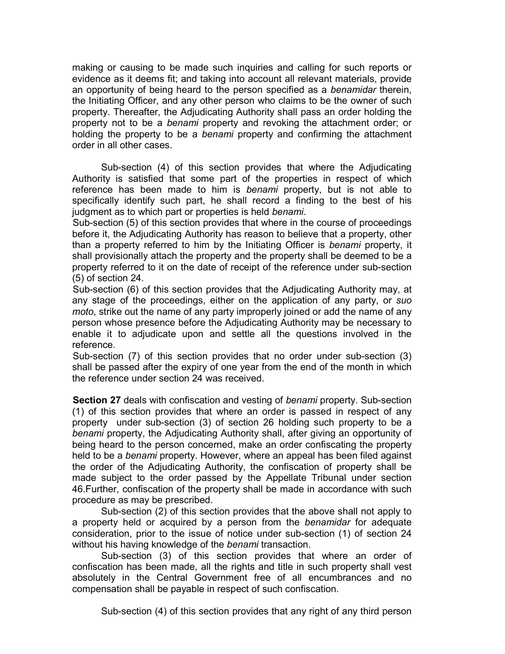making or causing to be made such inquiries and calling for such reports or evidence as it deems fit; and taking into account all relevant materials, provide an opportunity of being heard to the person specified as a *benamidar* therein, the Initiating Officer, and any other person who claims to be the owner of such property. Thereafter, the Adjudicating Authority shall pass an order holding the property not to be a *benami* property and revoking the attachment order; or holding the property to be a *benami* property and confirming the attachment order in all other cases.

Sub-section (4) of this section provides that where the Adjudicating Authority is satisfied that some part of the properties in respect of which reference has been made to him is *benami* property, but is not able to specifically identify such part, he shall record a finding to the best of his judgment as to which part or properties is held *benami*.

Sub-section (5) of this section provides that where in the course of proceedings before it, the Adjudicating Authority has reason to believe that a property, other than a property referred to him by the Initiating Officer is *benami* property, it shall provisionally attach the property and the property shall be deemed to be a property referred to it on the date of receipt of the reference under sub-section (5) of section 24.

Sub-section (6) of this section provides that the Adjudicating Authority may, at any stage of the proceedings, either on the application of any party, or *suo moto*, strike out the name of any party improperly joined or add the name of any person whose presence before the Adjudicating Authority may be necessary to enable it to adjudicate upon and settle all the questions involved in the reference.

Sub-section (7) of this section provides that no order under sub-section (3) shall be passed after the expiry of one year from the end of the month in which the reference under section 24 was received.

**Section 27** deals with confiscation and vesting of *benami* property. Sub-section (1) of this section provides that where an order is passed in respect of any property under sub-section (3) of section 26 holding such property to be a *benami* property, the Adjudicating Authority shall, after giving an opportunity of being heard to the person concerned, make an order confiscating the property held to be a *benami* property. However, where an appeal has been filed against the order of the Adjudicating Authority, the confiscation of property shall be made subject to the order passed by the Appellate Tribunal under section 46.Further, confiscation of the property shall be made in accordance with such procedure as may be prescribed.

Sub-section (2) of this section provides that the above shall not apply to a property held or acquired by a person from the *benamidar* for adequate consideration, prior to the issue of notice under sub-section (1) of section 24 without his having knowledge of the *benami* transaction.

Sub-section (3) of this section provides that where an order of confiscation has been made, all the rights and title in such property shall vest absolutely in the Central Government free of all encumbrances and no compensation shall be payable in respect of such confiscation.

Sub-section (4) of this section provides that any right of any third person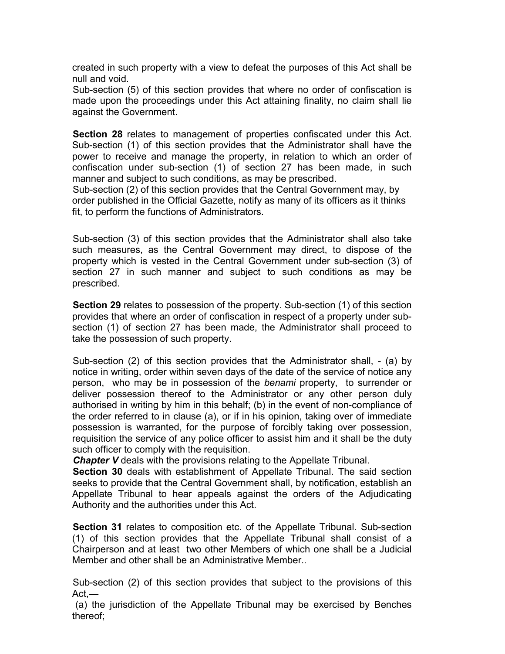created in such property with a view to defeat the purposes of this Act shall be null and void.

Sub-section (5) of this section provides that where no order of confiscation is made upon the proceedings under this Act attaining finality, no claim shall lie against the Government.

**Section 28** relates to management of properties confiscated under this Act. Sub-section (1) of this section provides that the Administrator shall have the power to receive and manage the property, in relation to which an order of confiscation under sub-section (1) of section 27 has been made, in such manner and subject to such conditions, as may be prescribed.

Sub-section (2) of this section provides that the Central Government may, by order published in the Official Gazette, notify as many of its officers as it thinks fit, to perform the functions of Administrators.

Sub-section (3) of this section provides that the Administrator shall also take such measures, as the Central Government may direct, to dispose of the property which is vested in the Central Government under sub-section (3) of section 27 in such manner and subject to such conditions as may be prescribed.

**Section 29** relates to possession of the property. Sub-section (1) of this section provides that where an order of confiscation in respect of a property under subsection (1) of section 27 has been made, the Administrator shall proceed to take the possession of such property.

Sub-section (2) of this section provides that the Administrator shall, - (a) by notice in writing, order within seven days of the date of the service of notice any person, who may be in possession of the *benami* property, to surrender or deliver possession thereof to the Administrator or any other person duly authorised in writing by him in this behalf; (b) in the event of non-compliance of the order referred to in clause (a), or if in his opinion, taking over of immediate possession is warranted, for the purpose of forcibly taking over possession, requisition the service of any police officer to assist him and it shall be the duty such officer to comply with the requisition.

*Chapter V* deals with the provisions relating to the Appellate Tribunal.

**Section 30** deals with establishment of Appellate Tribunal. The said section seeks to provide that the Central Government shall, by notification, establish an Appellate Tribunal to hear appeals against the orders of the Adjudicating Authority and the authorities under this Act.

**Section 31** relates to composition etc. of the Appellate Tribunal. Sub-section (1) of this section provides that the Appellate Tribunal shall consist of a Chairperson and at least two other Members of which one shall be a Judicial Member and other shall be an Administrative Member..

Sub-section (2) of this section provides that subject to the provisions of this Act,—

(a) the jurisdiction of the Appellate Tribunal may be exercised by Benches thereof;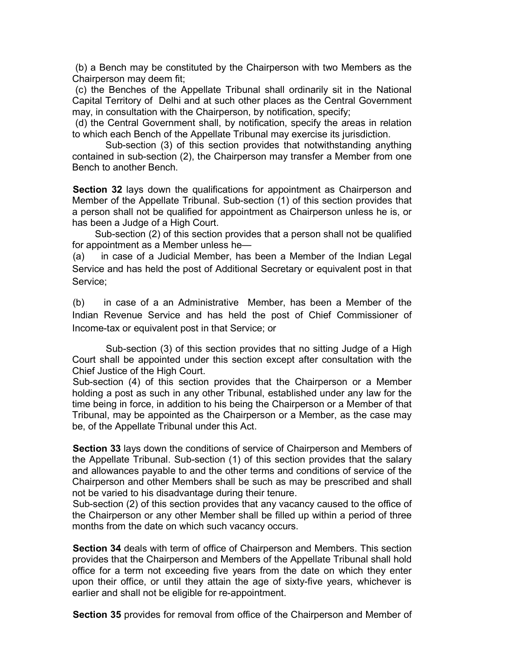(b) a Bench may be constituted by the Chairperson with two Members as the Chairperson may deem fit;

(c) the Benches of the Appellate Tribunal shall ordinarily sit in the National Capital Territory of Delhi and at such other places as the Central Government may, in consultation with the Chairperson, by notification, specify;

(d) the Central Government shall, by notification, specify the areas in relation to which each Bench of the Appellate Tribunal may exercise its jurisdiction.

 Sub-section (3) of this section provides that notwithstanding anything contained in sub-section (2), the Chairperson may transfer a Member from one Bench to another Bench.

**Section 32** lays down the qualifications for appointment as Chairperson and Member of the Appellate Tribunal. Sub-section (1) of this section provides that a person shall not be qualified for appointment as Chairperson unless he is, or has been a Judge of a High Court.

 Sub-section (2) of this section provides that a person shall not be qualified for appointment as a Member unless he—

(a) in case of a Judicial Member, has been a Member of the Indian Legal Service and has held the post of Additional Secretary or equivalent post in that Service;

(b) in case of a an Administrative Member, has been a Member of the Indian Revenue Service and has held the post of Chief Commissioner of Income-tax or equivalent post in that Service; or

 Sub-section (3) of this section provides that no sitting Judge of a High Court shall be appointed under this section except after consultation with the Chief Justice of the High Court.

Sub-section (4) of this section provides that the Chairperson or a Member holding a post as such in any other Tribunal, established under any law for the time being in force, in addition to his being the Chairperson or a Member of that Tribunal, may be appointed as the Chairperson or a Member, as the case may be, of the Appellate Tribunal under this Act.

**Section 33** lays down the conditions of service of Chairperson and Members of the Appellate Tribunal. Sub-section (1) of this section provides that the salary and allowances payable to and the other terms and conditions of service of the Chairperson and other Members shall be such as may be prescribed and shall not be varied to his disadvantage during their tenure.

Sub-section (2) of this section provides that any vacancy caused to the office of the Chairperson or any other Member shall be filled up within a period of three months from the date on which such vacancy occurs.

**Section 34** deals with term of office of Chairperson and Members. This section provides that the Chairperson and Members of the Appellate Tribunal shall hold office for a term not exceeding five years from the date on which they enter upon their office, or until they attain the age of sixty-five years, whichever is earlier and shall not be eligible for re-appointment.

**Section 35** provides for removal from office of the Chairperson and Member of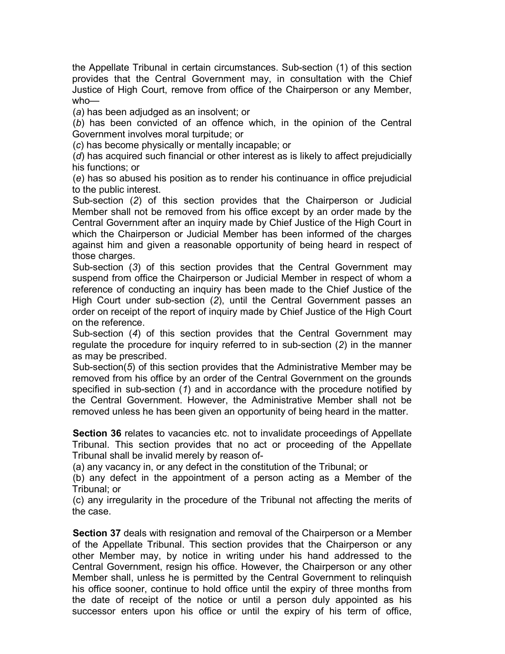the Appellate Tribunal in certain circumstances. Sub-section (1) of this section provides that the Central Government may, in consultation with the Chief Justice of High Court, remove from office of the Chairperson or any Member, who—

(*a*) has been adjudged as an insolvent; or

(*b*) has been convicted of an offence which, in the opinion of the Central Government involves moral turpitude; or

(*c*) has become physically or mentally incapable; or

(*d*) has acquired such financial or other interest as is likely to affect prejudicially his functions; or

(*e*) has so abused his position as to render his continuance in office prejudicial to the public interest.

Sub-section (*2*) of this section provides that the Chairperson or Judicial Member shall not be removed from his office except by an order made by the Central Government after an inquiry made by Chief Justice of the High Court in which the Chairperson or Judicial Member has been informed of the charges against him and given a reasonable opportunity of being heard in respect of those charges.

Sub-section (*3*) of this section provides that the Central Government may suspend from office the Chairperson or Judicial Member in respect of whom a reference of conducting an inquiry has been made to the Chief Justice of the High Court under sub-section (*2*), until the Central Government passes an order on receipt of the report of inquiry made by Chief Justice of the High Court on the reference.

Sub-section (*4*) of this section provides that the Central Government may regulate the procedure for inquiry referred to in sub-section (*2*) in the manner as may be prescribed.

Sub-section(*5*) of this section provides that the Administrative Member may be removed from his office by an order of the Central Government on the grounds specified in sub-section (*1*) and in accordance with the procedure notified by the Central Government. However, the Administrative Member shall not be removed unless he has been given an opportunity of being heard in the matter.

**Section 36** relates to vacancies etc. not to invalidate proceedings of Appellate Tribunal. This section provides that no act or proceeding of the Appellate Tribunal shall be invalid merely by reason of-

(a) any vacancy in, or any defect in the constitution of the Tribunal; or

(b) any defect in the appointment of a person acting as a Member of the Tribunal; or

(c) any irregularity in the procedure of the Tribunal not affecting the merits of the case.

**Section 37** deals with resignation and removal of the Chairperson or a Member of the Appellate Tribunal. This section provides that the Chairperson or any other Member may, by notice in writing under his hand addressed to the Central Government, resign his office. However, the Chairperson or any other Member shall, unless he is permitted by the Central Government to relinquish his office sooner, continue to hold office until the expiry of three months from the date of receipt of the notice or until a person duly appointed as his successor enters upon his office or until the expiry of his term of office,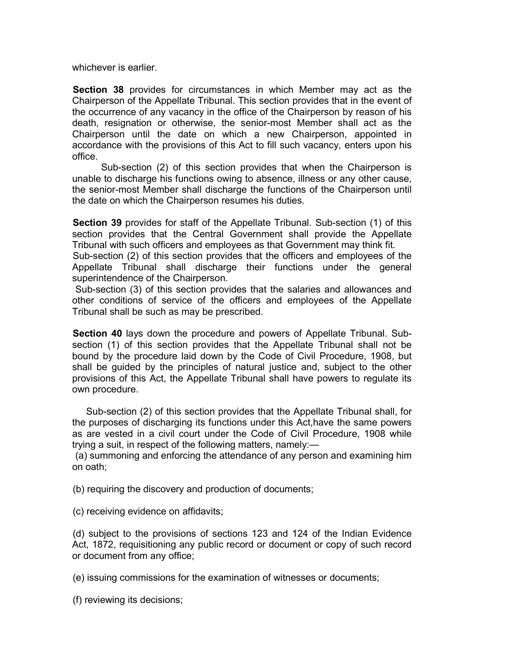whichever is earlier.

**Section 38** provides for circumstances in which Member may act as the Chairperson of the Appellate Tribunal. This section provides that in the event of the occurrence of any vacancy in the office of the Chairperson by reason of his death, resignation or otherwise, the senior-most Member shall act as the Chairperson until the date on which a new Chairperson, appointed in accordance with the provisions of this Act to fill such vacancy, enters upon his office.

Sub-section (2) of this section provides that when the Chairperson is unable to discharge his functions owing to absence, illness or any other cause, the senior-most Member shall discharge the functions of the Chairperson until the date on which the Chairperson resumes his duties.

**Section 39** provides for staff of the Appellate Tribunal. Sub-section (1) of this section provides that the Central Government shall provide the Appellate Tribunal with such officers and employees as that Government may think fit.

Sub-section (2) of this section provides that the officers and employees of the Appellate Tribunal shall discharge their functions under the general superintendence of the Chairperson.

Sub-section (3) of this section provides that the salaries and allowances and other conditions of service of the officers and employees of the Appellate Tribunal shall be such as may be prescribed.

**Section 40** lays down the procedure and powers of Appellate Tribunal. Subsection (1) of this section provides that the Appellate Tribunal shall not be bound by the procedure laid down by the Code of Civil Procedure, 1908, but shall be guided by the principles of natural justice and, subject to the other provisions of this Act, the Appellate Tribunal shall have powers to regulate its own procedure.

 Sub-section (2) of this section provides that the Appellate Tribunal shall, for the purposes of discharging its functions under this Act,have the same powers as are vested in a civil court under the Code of Civil Procedure, 1908 while trying a suit, in respect of the following matters, namely:—

(a) summoning and enforcing the attendance of any person and examining him on oath;

(b) requiring the discovery and production of documents;

(c) receiving evidence on affidavits;

(d) subject to the provisions of sections 123 and 124 of the Indian Evidence Act, 1872, requisitioning any public record or document or copy of such record or document from any office;

(e) issuing commissions for the examination of witnesses or documents;

(f) reviewing its decisions;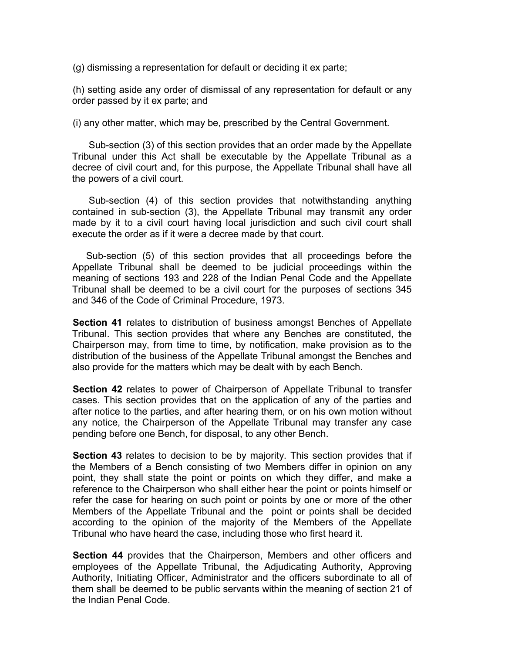(g) dismissing a representation for default or deciding it ex parte;

(h) setting aside any order of dismissal of any representation for default or any order passed by it ex parte; and

(i) any other matter, which may be, prescribed by the Central Government.

 Sub-section (3) of this section provides that an order made by the Appellate Tribunal under this Act shall be executable by the Appellate Tribunal as a decree of civil court and, for this purpose, the Appellate Tribunal shall have all the powers of a civil court.

 Sub-section (4) of this section provides that notwithstanding anything contained in sub-section (3), the Appellate Tribunal may transmit any order made by it to a civil court having local jurisdiction and such civil court shall execute the order as if it were a decree made by that court.

 Sub-section (5) of this section provides that all proceedings before the Appellate Tribunal shall be deemed to be judicial proceedings within the meaning of sections 193 and 228 of the Indian Penal Code and the Appellate Tribunal shall be deemed to be a civil court for the purposes of sections 345 and 346 of the Code of Criminal Procedure, 1973.

**Section 41** relates to distribution of business amongst Benches of Appellate Tribunal. This section provides that where any Benches are constituted, the Chairperson may, from time to time, by notification, make provision as to the distribution of the business of the Appellate Tribunal amongst the Benches and also provide for the matters which may be dealt with by each Bench.

**Section 42** relates to power of Chairperson of Appellate Tribunal to transfer cases. This section provides that on the application of any of the parties and after notice to the parties, and after hearing them, or on his own motion without any notice, the Chairperson of the Appellate Tribunal may transfer any case pending before one Bench, for disposal, to any other Bench.

**Section 43** relates to decision to be by majority. This section provides that if the Members of a Bench consisting of two Members differ in opinion on any point, they shall state the point or points on which they differ, and make a reference to the Chairperson who shall either hear the point or points himself or refer the case for hearing on such point or points by one or more of the other Members of the Appellate Tribunal and the point or points shall be decided according to the opinion of the majority of the Members of the Appellate Tribunal who have heard the case, including those who first heard it.

**Section 44** provides that the Chairperson, Members and other officers and employees of the Appellate Tribunal, the Adjudicating Authority, Approving Authority, Initiating Officer, Administrator and the officers subordinate to all of them shall be deemed to be public servants within the meaning of section 21 of the Indian Penal Code.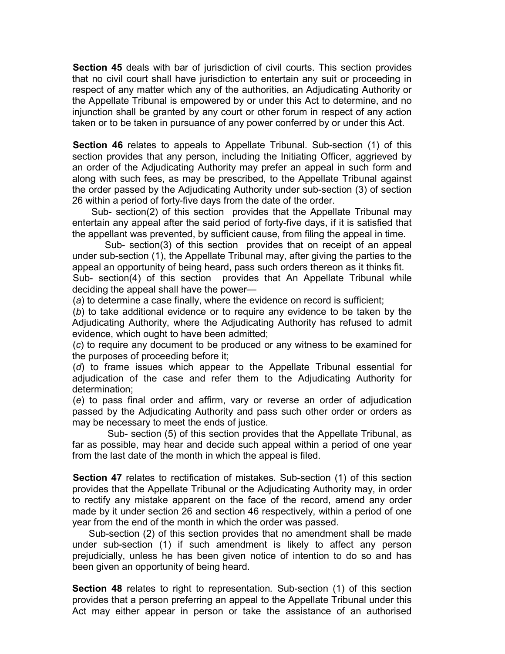**Section 45** deals with bar of jurisdiction of civil courts. This section provides that no civil court shall have jurisdiction to entertain any suit or proceeding in respect of any matter which any of the authorities, an Adjudicating Authority or the Appellate Tribunal is empowered by or under this Act to determine, and no injunction shall be granted by any court or other forum in respect of any action taken or to be taken in pursuance of any power conferred by or under this Act.

**Section 46** relates to appeals to Appellate Tribunal. Sub-section (1) of this section provides that any person, including the Initiating Officer, aggrieved by an order of the Adjudicating Authority may prefer an appeal in such form and along with such fees, as may be prescribed, to the Appellate Tribunal against the order passed by the Adjudicating Authority under sub-section (3) of section 26 within a period of forty-five days from the date of the order.

 Sub- section(2) of this section provides that the Appellate Tribunal may entertain any appeal after the said period of forty-five days, if it is satisfied that the appellant was prevented, by sufficient cause, from filing the appeal in time.

 Sub- section(3) of this section provides that on receipt of an appeal under sub-section (1), the Appellate Tribunal may, after giving the parties to the appeal an opportunity of being heard, pass such orders thereon as it thinks fit.

Sub- section(4) of this section provides that An Appellate Tribunal while deciding the appeal shall have the power—

(*a*) to determine a case finally, where the evidence on record is sufficient;

(*b*) to take additional evidence or to require any evidence to be taken by the Adjudicating Authority, where the Adjudicating Authority has refused to admit evidence, which ought to have been admitted;

(*c*) to require any document to be produced or any witness to be examined for the purposes of proceeding before it;

(*d*) to frame issues which appear to the Appellate Tribunal essential for adjudication of the case and refer them to the Adjudicating Authority for determination;

(*e*) to pass final order and affirm, vary or reverse an order of adjudication passed by the Adjudicating Authority and pass such other order or orders as may be necessary to meet the ends of justice.

 Sub- section (5) of this section provides that the Appellate Tribunal, as far as possible, may hear and decide such appeal within a period of one year from the last date of the month in which the appeal is filed.

**Section 47** relates to rectification of mistakes. Sub-section (1) of this section provides that the Appellate Tribunal or the Adjudicating Authority may, in order to rectify any mistake apparent on the face of the record, amend any order made by it under section 26 and section 46 respectively, within a period of one year from the end of the month in which the order was passed.

 Sub-section (2) of this section provides that no amendment shall be made under sub-section (1) if such amendment is likely to affect any person prejudicially, unless he has been given notice of intention to do so and has been given an opportunity of being heard.

**Section 48** relates to right to representation*.* Sub-section (1) of this section provides that a person preferring an appeal to the Appellate Tribunal under this Act may either appear in person or take the assistance of an authorised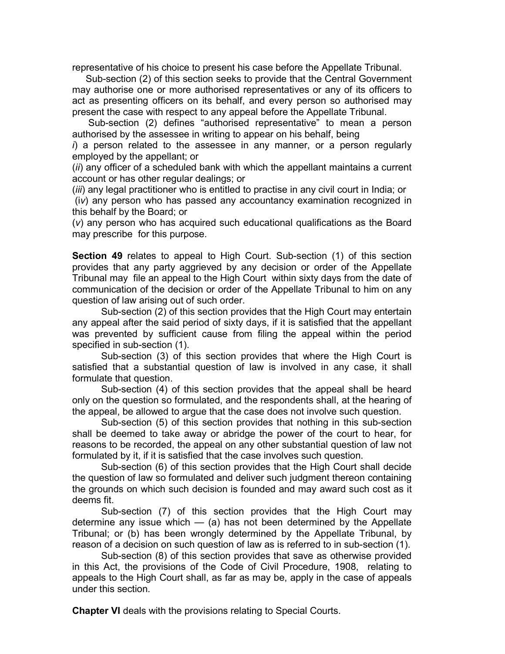representative of his choice to present his case before the Appellate Tribunal.

 Sub-section (2) of this section seeks to provide that the Central Government may authorise one or more authorised representatives or any of its officers to act as presenting officers on its behalf, and every person so authorised may present the case with respect to any appeal before the Appellate Tribunal.

 Sub-section (2) defines "authorised representative" to mean a person authorised by the assessee in writing to appear on his behalf, being

*i*) a person related to the assessee in any manner, or a person regularly employed by the appellant; or

(*ii*) any officer of a scheduled bank with which the appellant maintains a current account or has other regular dealings; or

(*iii*) any legal practitioner who is entitled to practise in any civil court in India; or

(i*v*) any person who has passed any accountancy examination recognized in this behalf by the Board; or

(*v*) any person who has acquired such educational qualifications as the Board may prescribe for this purpose.

**Section 49** relates to appeal to High Court. Sub-section (1) of this section provides that any party aggrieved by any decision or order of the Appellate Tribunal may file an appeal to the High Court within sixty days from the date of communication of the decision or order of the Appellate Tribunal to him on any question of law arising out of such order.

Sub-section (2) of this section provides that the High Court may entertain any appeal after the said period of sixty days, if it is satisfied that the appellant was prevented by sufficient cause from filing the appeal within the period specified in sub-section (1).

Sub-section (3) of this section provides that where the High Court is satisfied that a substantial question of law is involved in any case, it shall formulate that question.

Sub-section (4) of this section provides that the appeal shall be heard only on the question so formulated, and the respondents shall, at the hearing of the appeal, be allowed to argue that the case does not involve such question.

Sub-section (5) of this section provides that nothing in this sub-section shall be deemed to take away or abridge the power of the court to hear, for reasons to be recorded, the appeal on any other substantial question of law not formulated by it, if it is satisfied that the case involves such question.

Sub-section (6) of this section provides that the High Court shall decide the question of law so formulated and deliver such judgment thereon containing the grounds on which such decision is founded and may award such cost as it deems fit.

Sub-section (7) of this section provides that the High Court may determine any issue which  $-$  (a) has not been determined by the Appellate Tribunal; or (b) has been wrongly determined by the Appellate Tribunal, by reason of a decision on such question of law as is referred to in sub-section (1).

Sub-section (8) of this section provides that save as otherwise provided in this Act, the provisions of the Code of Civil Procedure, 1908, relating to appeals to the High Court shall, as far as may be, apply in the case of appeals under this section.

**Chapter VI** deals with the provisions relating to Special Courts.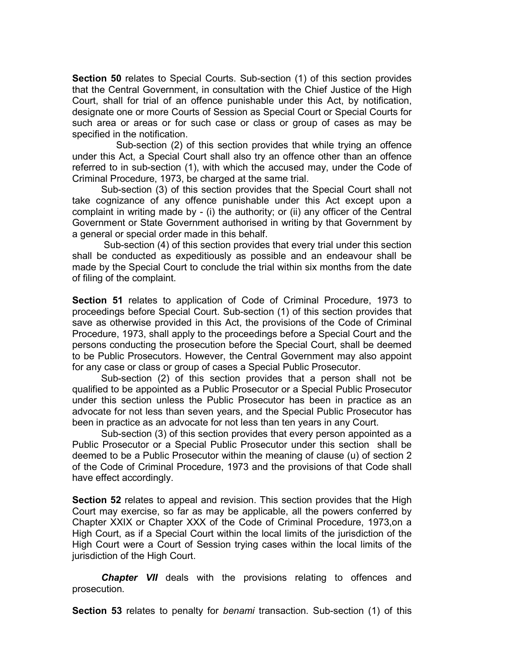**Section 50** relates to Special Courts. Sub-section (1) of this section provides that the Central Government, in consultation with the Chief Justice of the High Court, shall for trial of an offence punishable under this Act, by notification, designate one or more Courts of Session as Special Court or Special Courts for such area or areas or for such case or class or group of cases as may be specified in the notification.

Sub-section (2) of this section provides that while trying an offence under this Act, a Special Court shall also try an offence other than an offence referred to in sub-section (1), with which the accused may, under the Code of Criminal Procedure, 1973, be charged at the same trial.

Sub-section (3) of this section provides that the Special Court shall not take cognizance of any offence punishable under this Act except upon a complaint in writing made by - (i) the authority; or (ii) any officer of the Central Government or State Government authorised in writing by that Government by a general or special order made in this behalf.

Sub-section (4) of this section provides that every trial under this section shall be conducted as expeditiously as possible and an endeavour shall be made by the Special Court to conclude the trial within six months from the date of filing of the complaint.

**Section 51** relates to application of Code of Criminal Procedure, 1973 to proceedings before Special Court. Sub-section (1) of this section provides that save as otherwise provided in this Act, the provisions of the Code of Criminal Procedure, 1973, shall apply to the proceedings before a Special Court and the persons conducting the prosecution before the Special Court, shall be deemed to be Public Prosecutors. However, the Central Government may also appoint for any case or class or group of cases a Special Public Prosecutor.

Sub-section (2) of this section provides that a person shall not be qualified to be appointed as a Public Prosecutor or a Special Public Prosecutor under this section unless the Public Prosecutor has been in practice as an advocate for not less than seven years, and the Special Public Prosecutor has been in practice as an advocate for not less than ten years in any Court.

Sub-section (3) of this section provides that every person appointed as a Public Prosecutor or a Special Public Prosecutor under this section shall be deemed to be a Public Prosecutor within the meaning of clause (u) of section 2 of the Code of Criminal Procedure, 1973 and the provisions of that Code shall have effect accordingly.

**Section 52** relates to appeal and revision. This section provides that the High Court may exercise, so far as may be applicable, all the powers conferred by Chapter XXIX or Chapter XXX of the Code of Criminal Procedure, 1973,on a High Court, as if a Special Court within the local limits of the jurisdiction of the High Court were a Court of Session trying cases within the local limits of the jurisdiction of the High Court.

*Chapter VII* deals with the provisions relating to offences and prosecution.

**Section 53** relates to penalty for *benami* transaction. Sub-section (1) of this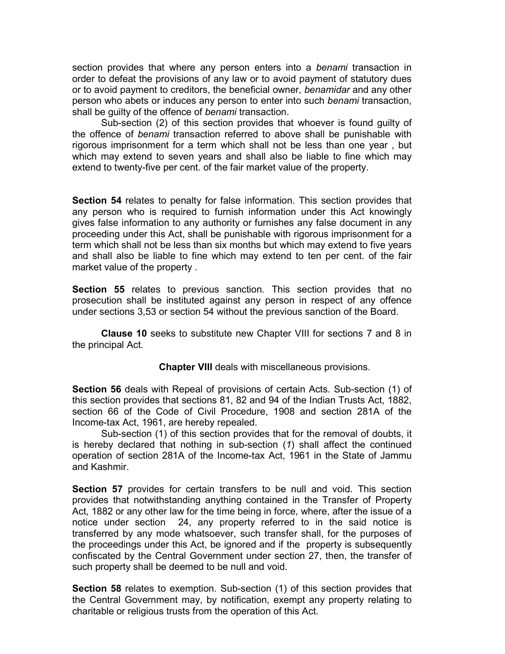section provides that where any person enters into a *benami* transaction in order to defeat the provisions of any law or to avoid payment of statutory dues or to avoid payment to creditors, the beneficial owner, *benamidar* and any other person who abets or induces any person to enter into such *benami* transaction, shall be guilty of the offence of *benami* transaction.

Sub-section (2) of this section provides that whoever is found guilty of the offence of *benami* transaction referred to above shall be punishable with rigorous imprisonment for a term which shall not be less than one year , but which may extend to seven years and shall also be liable to fine which may extend to twenty-five per cent. of the fair market value of the property.

**Section 54** relates to penalty for false information. This section provides that any person who is required to furnish information under this Act knowingly gives false information to any authority or furnishes any false document in any proceeding under this Act, shall be punishable with rigorous imprisonment for a term which shall not be less than six months but which may extend to five years and shall also be liable to fine which may extend to ten per cent. of the fair market value of the property .

**Section 55** relates to previous sanction*.* This section provides that no prosecution shall be instituted against any person in respect of any offence under sections 3,53 or section 54 without the previous sanction of the Board.

**Clause 10** seeks to substitute new Chapter VIII for sections 7 and 8 in the principal Act.

**Chapter VIII** deals with miscellaneous provisions.

**Section 56** deals with Repeal of provisions of certain Acts. Sub-section (1) of this section provides that sections 81, 82 and 94 of the Indian Trusts Act, 1882, section 66 of the Code of Civil Procedure, 1908 and section 281A of the Income-tax Act, 1961, are hereby repealed.

Sub-section (1) of this section provides that for the removal of doubts, it is hereby declared that nothing in sub-section (*1*) shall affect the continued operation of section 281A of the Income-tax Act, 1961 in the State of Jammu and Kashmir.

**Section 57** provides for certain transfers to be null and void. This section provides that notwithstanding anything contained in the Transfer of Property Act, 1882 or any other law for the time being in force, where, after the issue of a notice under section 24, any property referred to in the said notice is transferred by any mode whatsoever, such transfer shall, for the purposes of the proceedings under this Act, be ignored and if the property is subsequently confiscated by the Central Government under section 27, then, the transfer of such property shall be deemed to be null and void.

**Section 58** relates to exemption. Sub-section (1) of this section provides that the Central Government may, by notification, exempt any property relating to charitable or religious trusts from the operation of this Act.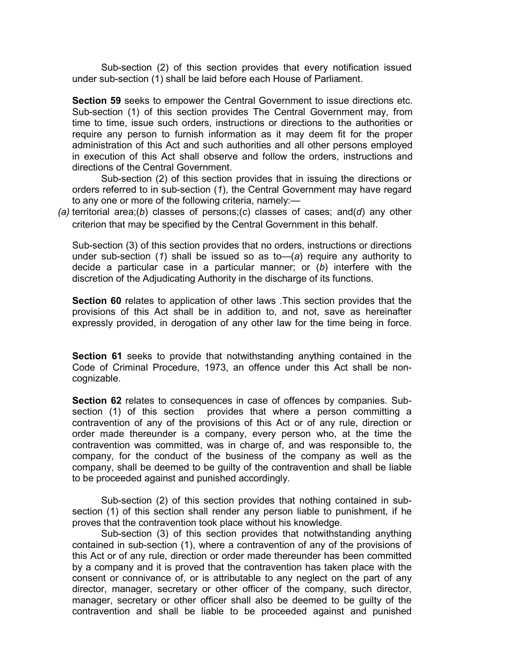Sub-section (2) of this section provides that every notification issued under sub-section (1) shall be laid before each House of Parliament.

**Section 59** seeks to empower the Central Government to issue directions etc. Sub-section (1) of this section provides The Central Government may, from time to time, issue such orders, instructions or directions to the authorities or require any person to furnish information as it may deem fit for the proper administration of this Act and such authorities and all other persons employed in execution of this Act shall observe and follow the orders, instructions and directions of the Central Government.

Sub-section (2) of this section provides that in issuing the directions or orders referred to in sub-section (*1*), the Central Government may have regard to any one or more of the following criteria, namely:—

*(a)* territorial area;(*b*) classes of persons;(*c*) classes of cases; and(*d*) any other criterion that may be specified by the Central Government in this behalf.

Sub-section (3) of this section provides that no orders, instructions or directions under sub-section (*1*) shall be issued so as to—(*a*) require any authority to decide a particular case in a particular manner; or (*b*) interfere with the discretion of the Adjudicating Authority in the discharge of its functions.

**Section 60** relates to application of other laws .This section provides that the provisions of this Act shall be in addition to, and not, save as hereinafter expressly provided, in derogation of any other law for the time being in force.

**Section 61** seeks to provide that notwithstanding anything contained in the Code of Criminal Procedure, 1973, an offence under this Act shall be noncognizable.

**Section 62** relates to consequences in case of offences by companies. Subsection (1) of this section provides that where a person committing a contravention of any of the provisions of this Act or of any rule, direction or order made thereunder is a company, every person who, at the time the contravention was committed, was in charge of, and was responsible to, the company, for the conduct of the business of the company as well as the company, shall be deemed to be guilty of the contravention and shall be liable to be proceeded against and punished accordingly.

Sub-section (2) of this section provides that nothing contained in subsection (1) of this section shall render any person liable to punishment, if he proves that the contravention took place without his knowledge.

Sub-section (3) of this section provides that notwithstanding anything contained in sub-section (1), where a contravention of any of the provisions of this Act or of any rule, direction or order made thereunder has been committed by a company and it is proved that the contravention has taken place with the consent or connivance of, or is attributable to any neglect on the part of any director, manager, secretary or other officer of the company, such director, manager, secretary or other officer shall also be deemed to be guilty of the contravention and shall be liable to be proceeded against and punished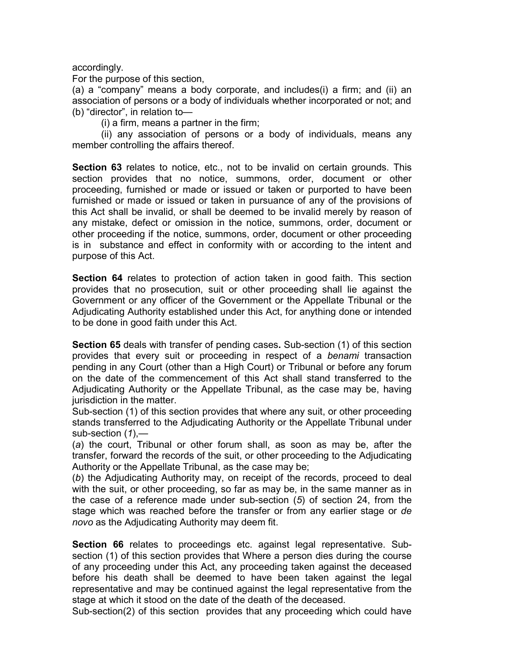accordingly.

For the purpose of this section,

(a) a "company" means a body corporate, and includes(i) a firm; and (ii) an association of persons or a body of individuals whether incorporated or not; and (b) "director", in relation to—

(i) a firm, means a partner in the firm;

(ii) any association of persons or a body of individuals, means any member controlling the affairs thereof.

**Section 63** relates to notice, etc., not to be invalid on certain grounds. This section provides that no notice, summons, order, document or other proceeding, furnished or made or issued or taken or purported to have been furnished or made or issued or taken in pursuance of any of the provisions of this Act shall be invalid, or shall be deemed to be invalid merely by reason of any mistake, defect or omission in the notice, summons, order, document or other proceeding if the notice, summons, order, document or other proceeding is in substance and effect in conformity with or according to the intent and purpose of this Act.

**Section 64** relates to protection of action taken in good faith. This section provides that no prosecution, suit or other proceeding shall lie against the Government or any officer of the Government or the Appellate Tribunal or the Adjudicating Authority established under this Act, for anything done or intended to be done in good faith under this Act.

**Section 65** deals with transfer of pending cases**.** Sub-section (1) of this section provides that every suit or proceeding in respect of a *benami* transaction pending in any Court (other than a High Court) or Tribunal or before any forum on the date of the commencement of this Act shall stand transferred to the Adjudicating Authority or the Appellate Tribunal, as the case may be, having jurisdiction in the matter.

Sub-section (1) of this section provides that where any suit, or other proceeding stands transferred to the Adjudicating Authority or the Appellate Tribunal under sub-section (*1*),—

(*a*) the court, Tribunal or other forum shall, as soon as may be, after the transfer, forward the records of the suit, or other proceeding to the Adjudicating Authority or the Appellate Tribunal, as the case may be;

(*b*) the Adjudicating Authority may, on receipt of the records, proceed to deal with the suit, or other proceeding, so far as may be, in the same manner as in the case of a reference made under sub-section (*5*) of section 24, from the stage which was reached before the transfer or from any earlier stage or *de novo* as the Adjudicating Authority may deem fit.

**Section 66** relates to proceedings etc. against legal representative. Subsection (1) of this section provides that Where a person dies during the course of any proceeding under this Act, any proceeding taken against the deceased before his death shall be deemed to have been taken against the legal representative and may be continued against the legal representative from the stage at which it stood on the date of the death of the deceased.

Sub-section(2) of this section provides that any proceeding which could have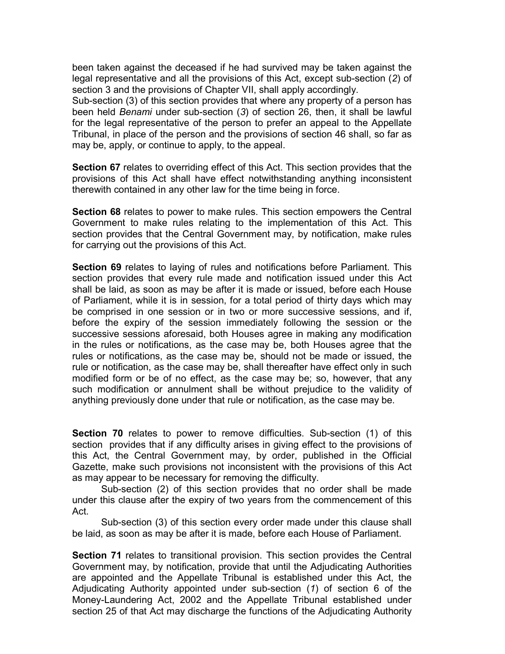been taken against the deceased if he had survived may be taken against the legal representative and all the provisions of this Act, except sub-section (*2*) of section 3 and the provisions of Chapter VII, shall apply accordingly.

Sub-section (3) of this section provides that where any property of a person has been held *Benami* under sub-section (*3*) of section 26, then, it shall be lawful for the legal representative of the person to prefer an appeal to the Appellate Tribunal, in place of the person and the provisions of section 46 shall, so far as may be, apply, or continue to apply, to the appeal.

**Section 67** relates to overriding effect of this Act. This section provides that the provisions of this Act shall have effect notwithstanding anything inconsistent therewith contained in any other law for the time being in force.

**Section 68** relates to power to make rules. This section empowers the Central Government to make rules relating to the implementation of this Act. This section provides that the Central Government may, by notification, make rules for carrying out the provisions of this Act.

**Section 69** relates to laying of rules and notifications before Parliament. This section provides that every rule made and notification issued under this Act shall be laid, as soon as may be after it is made or issued, before each House of Parliament, while it is in session, for a total period of thirty days which may be comprised in one session or in two or more successive sessions, and if, before the expiry of the session immediately following the session or the successive sessions aforesaid, both Houses agree in making any modification in the rules or notifications, as the case may be, both Houses agree that the rules or notifications, as the case may be, should not be made or issued, the rule or notification, as the case may be, shall thereafter have effect only in such modified form or be of no effect, as the case may be; so, however, that any such modification or annulment shall be without prejudice to the validity of anything previously done under that rule or notification, as the case may be.

**Section 70** relates to power to remove difficulties. Sub-section (1) of this section provides that if any difficulty arises in giving effect to the provisions of this Act, the Central Government may, by order, published in the Official Gazette, make such provisions not inconsistent with the provisions of this Act as may appear to be necessary for removing the difficulty.

Sub-section (2) of this section provides that no order shall be made under this clause after the expiry of two years from the commencement of this Act.

Sub-section (3) of this section every order made under this clause shall be laid, as soon as may be after it is made, before each House of Parliament.

**Section 71** relates to transitional provision. This section provides the Central Government may, by notification, provide that until the Adjudicating Authorities are appointed and the Appellate Tribunal is established under this Act, the Adjudicating Authority appointed under sub-section (*1*) of section 6 of the Money-Laundering Act, 2002 and the Appellate Tribunal established under section 25 of that Act may discharge the functions of the Adjudicating Authority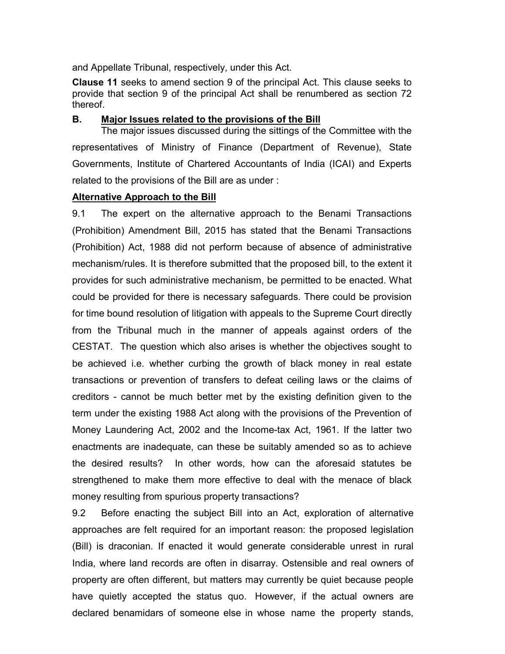and Appellate Tribunal, respectively, under this Act.

**Clause 11** seeks to amend section 9 of the principal Act. This clause seeks to provide that section 9 of the principal Act shall be renumbered as section 72 thereof.

### **B. Major Issues related to the provisions of the Bill**

The major issues discussed during the sittings of the Committee with the representatives of Ministry of Finance (Department of Revenue), State Governments, Institute of Chartered Accountants of India (ICAI) and Experts related to the provisions of the Bill are as under :

### **Alternative Approach to the Bill**

9.1 The expert on the alternative approach to the Benami Transactions (Prohibition) Amendment Bill, 2015 has stated that the Benami Transactions (Prohibition) Act, 1988 did not perform because of absence of administrative mechanism/rules. It is therefore submitted that the proposed bill, to the extent it provides for such administrative mechanism, be permitted to be enacted. What could be provided for there is necessary safeguards. There could be provision for time bound resolution of litigation with appeals to the Supreme Court directly from the Tribunal much in the manner of appeals against orders of the CESTAT. The question which also arises is whether the objectives sought to be achieved i.e. whether curbing the growth of black money in real estate transactions or prevention of transfers to defeat ceiling laws or the claims of creditors - cannot be much better met by the existing definition given to the term under the existing 1988 Act along with the provisions of the Prevention of Money Laundering Act, 2002 and the Income-tax Act, 1961. If the latter two enactments are inadequate, can these be suitably amended so as to achieve the desired results? In other words, how can the aforesaid statutes be strengthened to make them more effective to deal with the menace of black money resulting from spurious property transactions?

9.2 Before enacting the subject Bill into an Act, exploration of alternative approaches are felt required for an important reason: the proposed legislation (Bill) is draconian. If enacted it would generate considerable unrest in rural India, where land records are often in disarray. Ostensible and real owners of property are often different, but matters may currently be quiet because people have quietly accepted the status quo. However, if the actual owners are declared benamidars of someone else in whose name the property stands,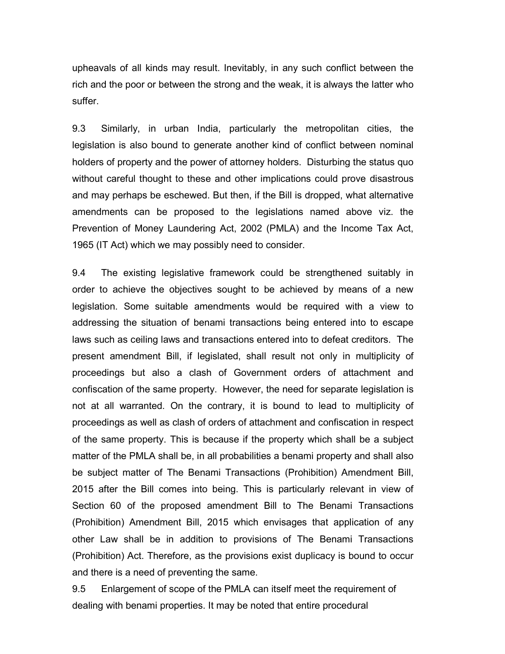upheavals of all kinds may result. Inevitably, in any such conflict between the rich and the poor or between the strong and the weak, it is always the latter who suffer.

9.3 Similarly, in urban India, particularly the metropolitan cities, the legislation is also bound to generate another kind of conflict between nominal holders of property and the power of attorney holders. Disturbing the status quo without careful thought to these and other implications could prove disastrous and may perhaps be eschewed. But then, if the Bill is dropped, what alternative amendments can be proposed to the legislations named above viz. the Prevention of Money Laundering Act, 2002 (PMLA) and the Income Tax Act, 1965 (IT Act) which we may possibly need to consider.

9.4 The existing legislative framework could be strengthened suitably in order to achieve the objectives sought to be achieved by means of a new legislation. Some suitable amendments would be required with a view to addressing the situation of benami transactions being entered into to escape laws such as ceiling laws and transactions entered into to defeat creditors. The present amendment Bill, if legislated, shall result not only in multiplicity of proceedings but also a clash of Government orders of attachment and confiscation of the same property. However, the need for separate legislation is not at all warranted. On the contrary, it is bound to lead to multiplicity of proceedings as well as clash of orders of attachment and confiscation in respect of the same property. This is because if the property which shall be a subject matter of the PMLA shall be, in all probabilities a benami property and shall also be subject matter of The Benami Transactions (Prohibition) Amendment Bill, 2015 after the Bill comes into being. This is particularly relevant in view of Section 60 of the proposed amendment Bill to The Benami Transactions (Prohibition) Amendment Bill, 2015 which envisages that application of any other Law shall be in addition to provisions of The Benami Transactions (Prohibition) Act. Therefore, as the provisions exist duplicacy is bound to occur and there is a need of preventing the same.

9.5 Enlargement of scope of the PMLA can itself meet the requirement of dealing with benami properties. It may be noted that entire procedural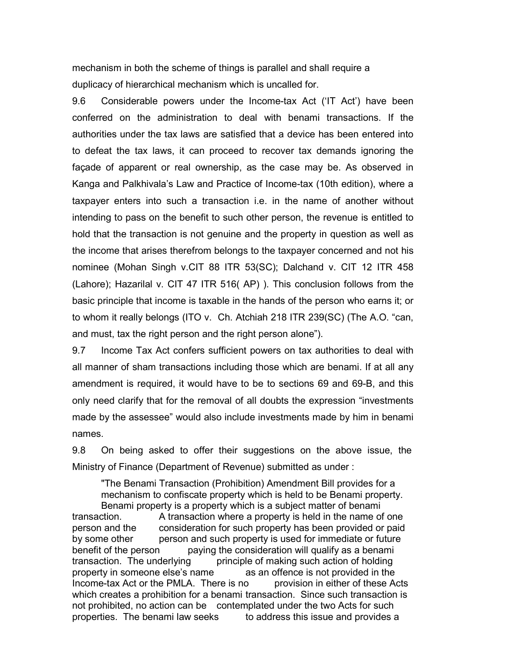mechanism in both the scheme of things is parallel and shall require a duplicacy of hierarchical mechanism which is uncalled for.

9.6 Considerable powers under the Income-tax Act ('IT Act') have been conferred on the administration to deal with benami transactions. If the authorities under the tax laws are satisfied that a device has been entered into to defeat the tax laws, it can proceed to recover tax demands ignoring the façade of apparent or real ownership, as the case may be. As observed in Kanga and Palkhivala's Law and Practice of Income-tax (10th edition), where a taxpayer enters into such a transaction i.e. in the name of another without intending to pass on the benefit to such other person, the revenue is entitled to hold that the transaction is not genuine and the property in question as well as the income that arises therefrom belongs to the taxpayer concerned and not his nominee (Mohan Singh v.CIT 88 ITR 53(SC); Dalchand v. CIT 12 ITR 458 (Lahore); Hazarilal v. CIT 47 ITR 516( AP) ). This conclusion follows from the basic principle that income is taxable in the hands of the person who earns it; or to whom it really belongs (ITO v. Ch. Atchiah 218 ITR 239(SC) (The A.O. "can, and must, tax the right person and the right person alone").

9.7 Income Tax Act confers sufficient powers on tax authorities to deal with all manner of sham transactions including those which are benami. If at all any amendment is required, it would have to be to sections 69 and 69-B, and this only need clarify that for the removal of all doubts the expression "investments made by the assessee" would also include investments made by him in benami names.

9.8 On being asked to offer their suggestions on the above issue, the Ministry of Finance (Department of Revenue) submitted as under :

"The Benami Transaction (Prohibition) Amendment Bill provides for a mechanism to confiscate property which is held to be Benami property. Benami property is a property which is a subject matter of benami transaction. A transaction where a property is held in the name of one person and the consideration for such property has been provided or paid by some other person and such property is used for immediate or future benefit of the person paying the consideration will qualify as a benami transaction. The underlying principle of making such action of holding<br>property in someone else's name as an offence is not provided in the property in someone else's name Income-tax Act or the PMLA. There is no provision in either of these Acts which creates a prohibition for a benami transaction. Since such transaction is not prohibited, no action can be contemplated under the two Acts for such properties. The benami law seeks to address this issue and provides a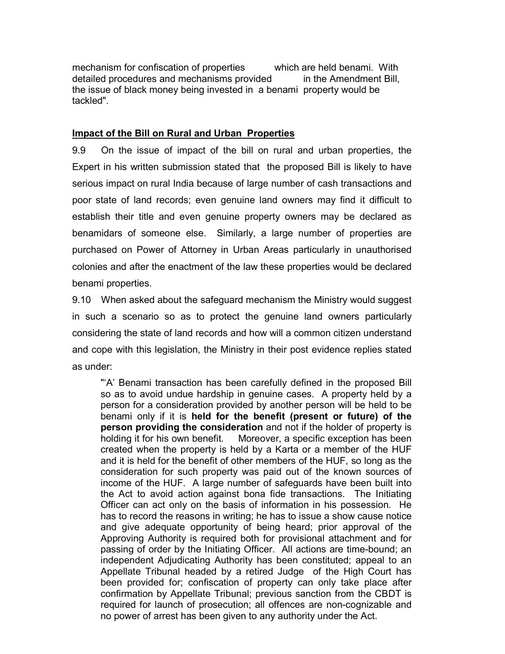mechanism for confiscation of properties which are held benami. With detailed procedures and mechanisms provided in the Amendment Bill, the issue of black money being invested in a benami property would be tackled".

### **Impact of the Bill on Rural and Urban Properties**

9.9 On the issue of impact of the bill on rural and urban properties, the Expert in his written submission stated that the proposed Bill is likely to have serious impact on rural India because of large number of cash transactions and poor state of land records; even genuine land owners may find it difficult to establish their title and even genuine property owners may be declared as benamidars of someone else. Similarly, a large number of properties are purchased on Power of Attorney in Urban Areas particularly in unauthorised colonies and after the enactment of the law these properties would be declared benami properties.

9.10 When asked about the safeguard mechanism the Ministry would suggest in such a scenario so as to protect the genuine land owners particularly considering the state of land records and how will a common citizen understand and cope with this legislation, the Ministry in their post evidence replies stated as under:

"'A' Benami transaction has been carefully defined in the proposed Bill so as to avoid undue hardship in genuine cases. A property held by a person for a consideration provided by another person will be held to be benami only if it is **held for the benefit (present or future) of the person providing the consideration** and not if the holder of property is holding it for his own benefit. Moreover, a specific exception has been created when the property is held by a Karta or a member of the HUF and it is held for the benefit of other members of the HUF, so long as the consideration for such property was paid out of the known sources of income of the HUF. A large number of safeguards have been built into the Act to avoid action against bona fide transactions. The Initiating Officer can act only on the basis of information in his possession. He has to record the reasons in writing; he has to issue a show cause notice and give adequate opportunity of being heard; prior approval of the Approving Authority is required both for provisional attachment and for passing of order by the Initiating Officer. All actions are time-bound; an independent Adjudicating Authority has been constituted; appeal to an Appellate Tribunal headed by a retired Judge of the High Court has been provided for; confiscation of property can only take place after confirmation by Appellate Tribunal; previous sanction from the CBDT is required for launch of prosecution; all offences are non-cognizable and no power of arrest has been given to any authority under the Act.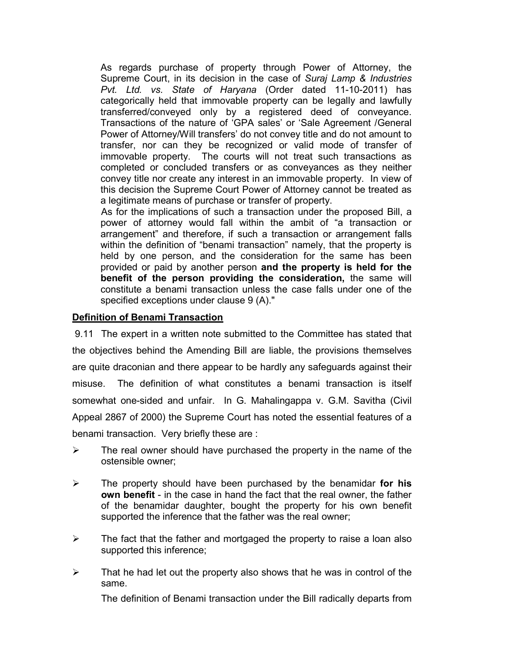As regards purchase of property through Power of Attorney, the Supreme Court, in its decision in the case of *Suraj Lamp & Industries Pvt. Ltd. vs. State of Haryana* (Order dated 11-10-2011) has categorically held that immovable property can be legally and lawfully transferred/conveyed only by a registered deed of conveyance. Transactions of the nature of 'GPA sales' or 'Sale Agreement /General Power of Attorney/Will transfers' do not convey title and do not amount to transfer, nor can they be recognized or valid mode of transfer of immovable property. The courts will not treat such transactions as completed or concluded transfers or as conveyances as they neither convey title nor create any interest in an immovable property. In view of this decision the Supreme Court Power of Attorney cannot be treated as a legitimate means of purchase or transfer of property.

As for the implications of such a transaction under the proposed Bill, a power of attorney would fall within the ambit of "a transaction or arrangement" and therefore, if such a transaction or arrangement falls within the definition of "benami transaction" namely, that the property is held by one person, and the consideration for the same has been provided or paid by another person **and the property is held for the benefit of the person providing the consideration,** the same will constitute a benami transaction unless the case falls under one of the specified exceptions under clause 9 (A)."

### **Definition of Benami Transaction**

9.11 The expert in a written note submitted to the Committee has stated that the objectives behind the Amending Bill are liable, the provisions themselves are quite draconian and there appear to be hardly any safeguards against their misuse. The definition of what constitutes a benami transaction is itself somewhat one-sided and unfair. In G. Mahalingappa v. G.M. Savitha (Civil Appeal 2867 of 2000) the Supreme Court has noted the essential features of a benami transaction. Very briefly these are :

- $\triangleright$  The real owner should have purchased the property in the name of the ostensible owner;
- The property should have been purchased by the benamidar **for his own benefit** - in the case in hand the fact that the real owner, the father of the benamidar daughter, bought the property for his own benefit supported the inference that the father was the real owner;
- $\triangleright$  The fact that the father and mortgaged the property to raise a loan also supported this inference;
- $\triangleright$  That he had let out the property also shows that he was in control of the same.

The definition of Benami transaction under the Bill radically departs from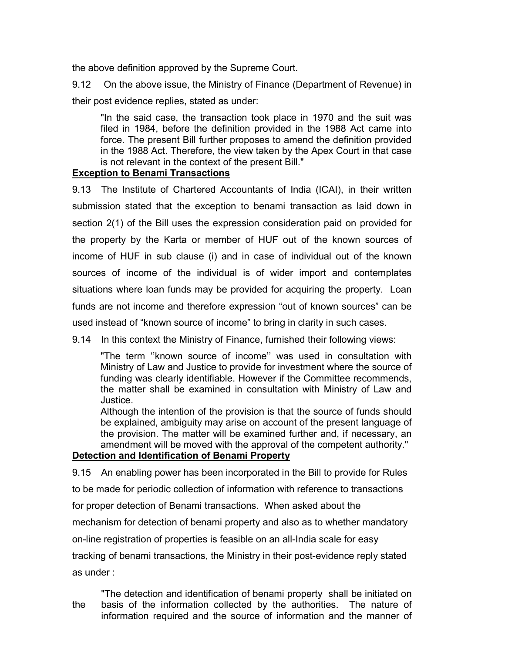the above definition approved by the Supreme Court.

9.12 On the above issue, the Ministry of Finance (Department of Revenue) in their post evidence replies, stated as under:

"In the said case, the transaction took place in 1970 and the suit was filed in 1984, before the definition provided in the 1988 Act came into force. The present Bill further proposes to amend the definition provided in the 1988 Act. Therefore, the view taken by the Apex Court in that case is not relevant in the context of the present Bill."

## **Exception to Benami Transactions**

9.13 The Institute of Chartered Accountants of India (ICAI), in their written submission stated that the exception to benami transaction as laid down in section 2(1) of the Bill uses the expression consideration paid on provided for the property by the Karta or member of HUF out of the known sources of income of HUF in sub clause (i) and in case of individual out of the known sources of income of the individual is of wider import and contemplates situations where loan funds may be provided for acquiring the property. Loan funds are not income and therefore expression "out of known sources" can be used instead of "known source of income" to bring in clarity in such cases.

9.14 In this context the Ministry of Finance, furnished their following views:

"The term ''known source of income'' was used in consultation with Ministry of Law and Justice to provide for investment where the source of funding was clearly identifiable. However if the Committee recommends, the matter shall be examined in consultation with Ministry of Law and Justice.

Although the intention of the provision is that the source of funds should be explained, ambiguity may arise on account of the present language of the provision. The matter will be examined further and, if necessary, an amendment will be moved with the approval of the competent authority."

## **Detection and Identification of Benami Property**

9.15 An enabling power has been incorporated in the Bill to provide for Rules

to be made for periodic collection of information with reference to transactions

for proper detection of Benami transactions. When asked about the

mechanism for detection of benami property and also as to whether mandatory

on-line registration of properties is feasible on an all-India scale for easy

tracking of benami transactions, the Ministry in their post-evidence reply stated as under :

"The detection and identification of benami property shall be initiated on the basis of the information collected by the authorities. The nature of information required and the source of information and the manner of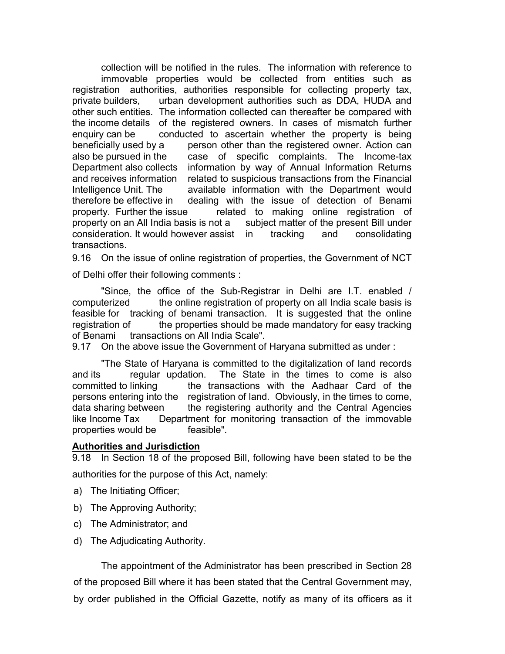collection will be notified in the rules. The information with reference to immovable properties would be collected from entities such as registration authorities, authorities responsible for collecting property tax, private builders, urban development authorities such as DDA, HUDA and other such entities. The information collected can thereafter be compared with the income details of the registered owners. In cases of mismatch further enquiry can be conducted to ascertain whether the property is being beneficially used by a person other than the registered owner. Action can also be pursued in the case of specific complaints. The Income-tax Department also collects information by way of Annual Information Returns and receives information related to suspicious transactions from the Financial Intelligence Unit. The available information with the Department would therefore be effective in dealing with the issue of detection of Benami property. Further the issue related to making online registration of property on an All India basis is not a subject matter of the present Bill under consideration. It would however assist in tracking and consolidating transactions.

9.16 On the issue of online registration of properties, the Government of NCT

of Delhi offer their following comments :

"Since, the office of the Sub-Registrar in Delhi are I.T. enabled / computerized the online registration of property on all India scale basis is feasible for tracking of benami transaction. It is suggested that the online registration of the properties should be made mandatory for easy tracking of Benami transactions on All India Scale".

9.17 On the above issue the Government of Haryana submitted as under :

"The State of Haryana is committed to the digitalization of land records and its regular updation. The State in the times to come is also committed to linking the transactions with the Aadhaar Card of the persons entering into the registration of land. Obviously, in the times to come, data sharing between the registering authority and the Central Agencies like Income Tax Department for monitoring transaction of the immovable properties would be feasible".

### **Authorities and Jurisdiction**

9.18 In Section 18 of the proposed Bill, following have been stated to be the authorities for the purpose of this Act, namely:

- a) The Initiating Officer;
- b) The Approving Authority;
- c) The Administrator; and
- d) The Adjudicating Authority.

The appointment of the Administrator has been prescribed in Section 28 of the proposed Bill where it has been stated that the Central Government may, by order published in the Official Gazette, notify as many of its officers as it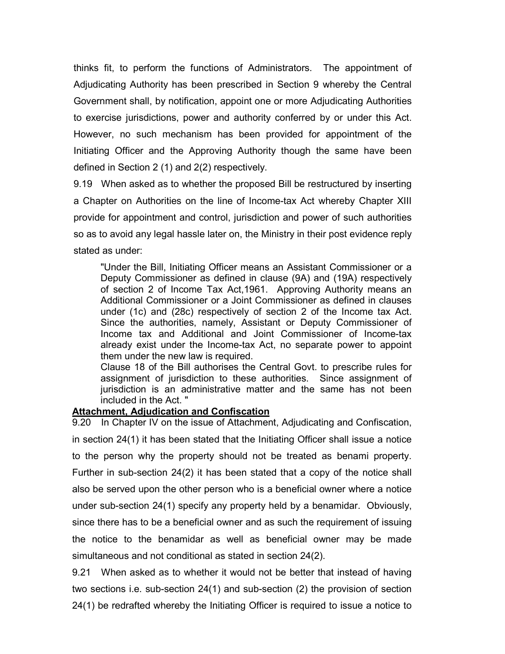thinks fit, to perform the functions of Administrators. The appointment of Adjudicating Authority has been prescribed in Section 9 whereby the Central Government shall, by notification, appoint one or more Adjudicating Authorities to exercise jurisdictions, power and authority conferred by or under this Act. However, no such mechanism has been provided for appointment of the Initiating Officer and the Approving Authority though the same have been defined in Section 2 (1) and 2(2) respectively.

9.19 When asked as to whether the proposed Bill be restructured by inserting a Chapter on Authorities on the line of Income-tax Act whereby Chapter XIII provide for appointment and control, jurisdiction and power of such authorities so as to avoid any legal hassle later on, the Ministry in their post evidence reply stated as under:

"Under the Bill, Initiating Officer means an Assistant Commissioner or a Deputy Commissioner as defined in clause (9A) and (19A) respectively of section 2 of Income Tax Act,1961. Approving Authority means an Additional Commissioner or a Joint Commissioner as defined in clauses under (1c) and (28c) respectively of section 2 of the Income tax Act. Since the authorities, namely, Assistant or Deputy Commissioner of Income tax and Additional and Joint Commissioner of Income-tax already exist under the Income-tax Act, no separate power to appoint them under the new law is required.

Clause 18 of the Bill authorises the Central Govt. to prescribe rules for assignment of jurisdiction to these authorities. Since assignment of jurisdiction is an administrative matter and the same has not been included in the Act. "

### **Attachment, Adjudication and Confiscation**

9.20 In Chapter IV on the issue of Attachment, Adjudicating and Confiscation, in section 24(1) it has been stated that the Initiating Officer shall issue a notice to the person why the property should not be treated as benami property. Further in sub-section 24(2) it has been stated that a copy of the notice shall also be served upon the other person who is a beneficial owner where a notice under sub-section 24(1) specify any property held by a benamidar. Obviously, since there has to be a beneficial owner and as such the requirement of issuing the notice to the benamidar as well as beneficial owner may be made simultaneous and not conditional as stated in section 24(2).

9.21 When asked as to whether it would not be better that instead of having two sections i.e. sub-section 24(1) and sub-section (2) the provision of section 24(1) be redrafted whereby the Initiating Officer is required to issue a notice to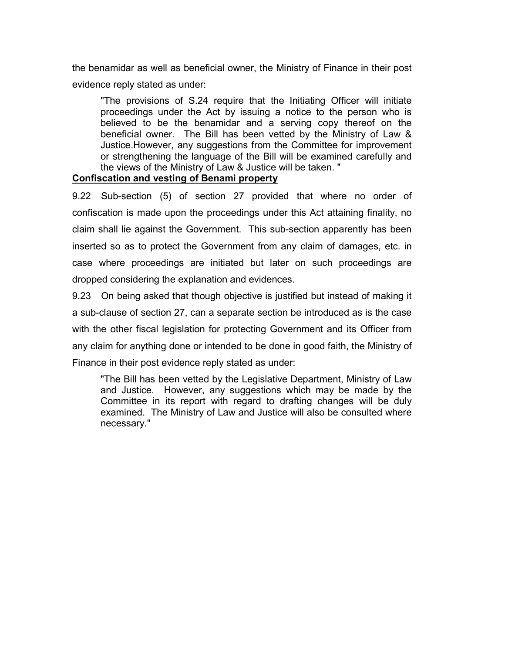the benamidar as well as beneficial owner, the Ministry of Finance in their post evidence reply stated as under:

"The provisions of S.24 require that the Initiating Officer will initiate proceedings under the Act by issuing a notice to the person who is believed to be the benamidar and a serving copy thereof on the beneficial owner. The Bill has been vetted by the Ministry of Law & Justice.However, any suggestions from the Committee for improvement or strengthening the language of the Bill will be examined carefully and the views of the Ministry of Law & Justice will be taken. "

## **Confiscation and vesting of Benami property**

9.22 Sub-section (5) of section 27 provided that where no order of confiscation is made upon the proceedings under this Act attaining finality, no claim shall lie against the Government. This sub-section apparently has been inserted so as to protect the Government from any claim of damages, etc. in case where proceedings are initiated but later on such proceedings are dropped considering the explanation and evidences.

9.23 On being asked that though objective is justified but instead of making it a sub-clause of section 27, can a separate section be introduced as is the case with the other fiscal legislation for protecting Government and its Officer from any claim for anything done or intended to be done in good faith, the Ministry of Finance in their post evidence reply stated as under:

"The Bill has been vetted by the Legislative Department, Ministry of Law and Justice. However, any suggestions which may be made by the Committee in its report with regard to drafting changes will be duly examined. The Ministry of Law and Justice will also be consulted where necessary."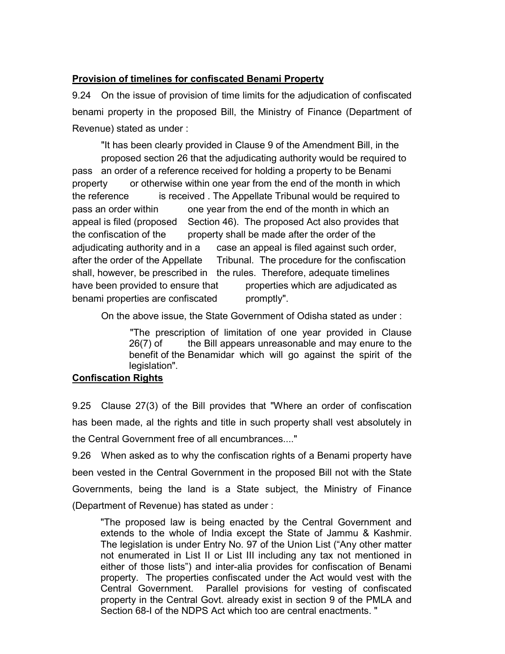## **Provision of timelines for confiscated Benami Property**

9.24 On the issue of provision of time limits for the adjudication of confiscated benami property in the proposed Bill, the Ministry of Finance (Department of Revenue) stated as under :

"It has been clearly provided in Clause 9 of the Amendment Bill, in the proposed section 26 that the adjudicating authority would be required to pass an order of a reference received for holding a property to be Benami property or otherwise within one year from the end of the month in which the reference is received . The Appellate Tribunal would be required to pass an order within one year from the end of the month in which an appeal is filed (proposed Section 46). The proposed Act also provides that the confiscation of the property shall be made after the order of the adjudicating authority and in a case an appeal is filed against such order, after the order of the Appellate Tribunal. The procedure for the confiscation shall, however, be prescribed in the rules. Therefore, adequate timelines have been provided to ensure that properties which are adjudicated as benami properties are confiscated promptly".

On the above issue, the State Government of Odisha stated as under :

"The prescription of limitation of one year provided in Clause 26(7) of the Bill appears unreasonable and may enure to the benefit of the Benamidar which will go against the spirit of the legislation".

## **Confiscation Rights**

9.25 Clause 27(3) of the Bill provides that "Where an order of confiscation has been made, al the rights and title in such property shall vest absolutely in the Central Government free of all encumbrances...."

9.26 When asked as to why the confiscation rights of a Benami property have been vested in the Central Government in the proposed Bill not with the State Governments, being the land is a State subject, the Ministry of Finance (Department of Revenue) has stated as under :

"The proposed law is being enacted by the Central Government and extends to the whole of India except the State of Jammu & Kashmir. The legislation is under Entry No. 97 of the Union List ("Any other matter not enumerated in List II or List III including any tax not mentioned in either of those lists") and inter-alia provides for confiscation of Benami property. The properties confiscated under the Act would vest with the Central Government. Parallel provisions for vesting of confiscated property in the Central Govt. already exist in section 9 of the PMLA and Section 68-I of the NDPS Act which too are central enactments. "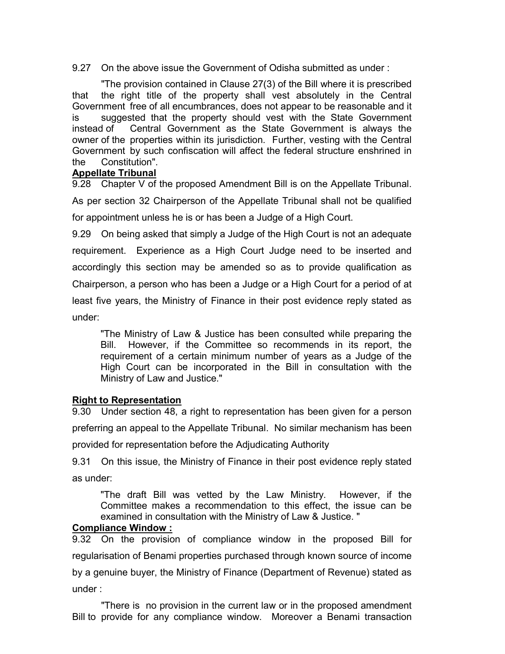9.27 On the above issue the Government of Odisha submitted as under :

"The provision contained in Clause 27(3) of the Bill where it is prescribed that the right title of the property shall vest absolutely in the Central Government free of all encumbrances, does not appear to be reasonable and it is suggested that the property should vest with the State Government instead of Central Government as the State Government is always the owner of the properties within its jurisdiction. Further, vesting with the Central Government by such confiscation will affect the federal structure enshrined in the Constitution".

## **Appellate Tribunal**

9.28 Chapter V of the proposed Amendment Bill is on the Appellate Tribunal. As per section 32 Chairperson of the Appellate Tribunal shall not be qualified for appointment unless he is or has been a Judge of a High Court.

9.29 On being asked that simply a Judge of the High Court is not an adequate requirement. Experience as a High Court Judge need to be inserted and accordingly this section may be amended so as to provide qualification as Chairperson, a person who has been a Judge or a High Court for a period of at least five years, the Ministry of Finance in their post evidence reply stated as under:

"The Ministry of Law & Justice has been consulted while preparing the Bill. However, if the Committee so recommends in its report, the requirement of a certain minimum number of years as a Judge of the High Court can be incorporated in the Bill in consultation with the Ministry of Law and Justice."

## **Right to Representation**

9.30 Under section 48, a right to representation has been given for a person preferring an appeal to the Appellate Tribunal. No similar mechanism has been provided for representation before the Adjudicating Authority

9.31 On this issue, the Ministry of Finance in their post evidence reply stated as under:

"The draft Bill was vetted by the Law Ministry. However, if the Committee makes a recommendation to this effect, the issue can be examined in consultation with the Ministry of Law & Justice. "

## **Compliance Window :**

9.32 On the provision of compliance window in the proposed Bill for regularisation of Benami properties purchased through known source of income by a genuine buyer, the Ministry of Finance (Department of Revenue) stated as under :

"There is no provision in the current law or in the proposed amendment Bill to provide for any compliance window. Moreover a Benami transaction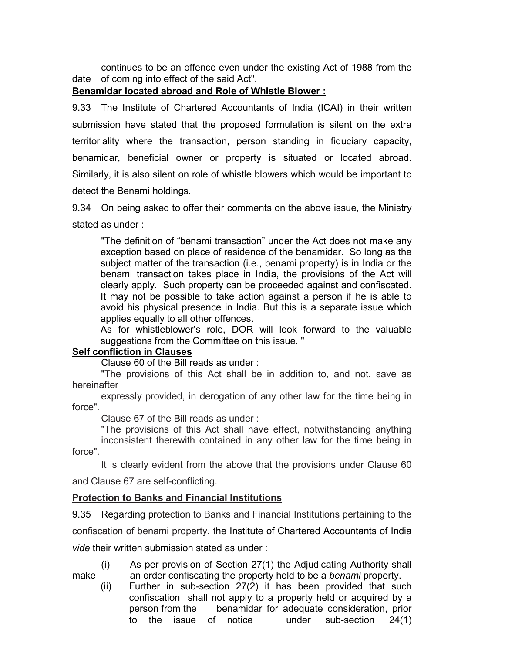continues to be an offence even under the existing Act of 1988 from the date of coming into effect of the said Act".

### **Benamidar located abroad and Role of Whistle Blower :**

9.33 The Institute of Chartered Accountants of India (ICAI) in their written submission have stated that the proposed formulation is silent on the extra territoriality where the transaction, person standing in fiduciary capacity, benamidar, beneficial owner or property is situated or located abroad. Similarly, it is also silent on role of whistle blowers which would be important to detect the Benami holdings.

9.34 On being asked to offer their comments on the above issue, the Ministry stated as under :

"The definition of "benami transaction" under the Act does not make any exception based on place of residence of the benamidar. So long as the subject matter of the transaction (i.e., benami property) is in India or the benami transaction takes place in India, the provisions of the Act will clearly apply. Such property can be proceeded against and confiscated. It may not be possible to take action against a person if he is able to avoid his physical presence in India. But this is a separate issue which applies equally to all other offences.

As for whistleblower's role, DOR will look forward to the valuable suggestions from the Committee on this issue. "

### **Self confliction in Clauses**

Clause 60 of the Bill reads as under :

"The provisions of this Act shall be in addition to, and not, save as hereinafter

expressly provided, in derogation of any other law for the time being in force".

Clause 67 of the Bill reads as under :

"The provisions of this Act shall have effect, notwithstanding anything inconsistent therewith contained in any other law for the time being in force".

It is clearly evident from the above that the provisions under Clause 60 and Clause 67 are self-conflicting.

### **Protection to Banks and Financial Institutions**

9.35 Regarding protection to Banks and Financial Institutions pertaining to the confiscation of benami property, the Institute of Chartered Accountants of India *vide* their written submission stated as under :

(i) As per provision of Section 27(1) the Adjudicating Authority shall make an order confiscating the property held to be a *benami* property.

(ii) Further in sub-section 27(2) it has been provided that such confiscation shall not apply to a property held or acquired by a person from the benamidar for adequate consideration, prior to the issue of notice under sub-section 24(1)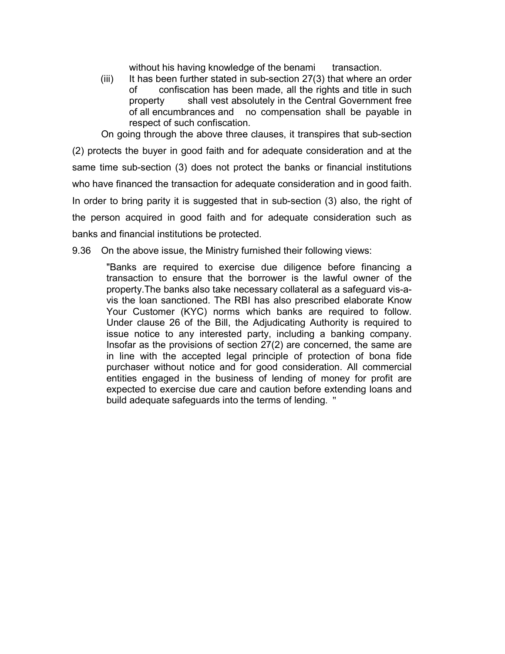without his having knowledge of the benami transaction.

 $(iii)$  It has been further stated in sub-section 27(3) that where an order of confiscation has been made, all the rights and title in such property shall vest absolutely in the Central Government free of all encumbrances and no compensation shall be payable in respect of such confiscation.

On going through the above three clauses, it transpires that sub-section (2) protects the buyer in good faith and for adequate consideration and at the same time sub-section (3) does not protect the banks or financial institutions who have financed the transaction for adequate consideration and in good faith. In order to bring parity it is suggested that in sub-section (3) also, the right of the person acquired in good faith and for adequate consideration such as banks and financial institutions be protected.

9.36 On the above issue, the Ministry furnished their following views:

"Banks are required to exercise due diligence before financing a transaction to ensure that the borrower is the lawful owner of the property.The banks also take necessary collateral as a safeguard vis-avis the loan sanctioned. The RBI has also prescribed elaborate Know Your Customer (KYC) norms which banks are required to follow. Under clause 26 of the Bill, the Adjudicating Authority is required to issue notice to any interested party, including a banking company. Insofar as the provisions of section 27(2) are concerned, the same are in line with the accepted legal principle of protection of bona fide purchaser without notice and for good consideration. All commercial entities engaged in the business of lending of money for profit are expected to exercise due care and caution before extending loans and build adequate safeguards into the terms of lending. "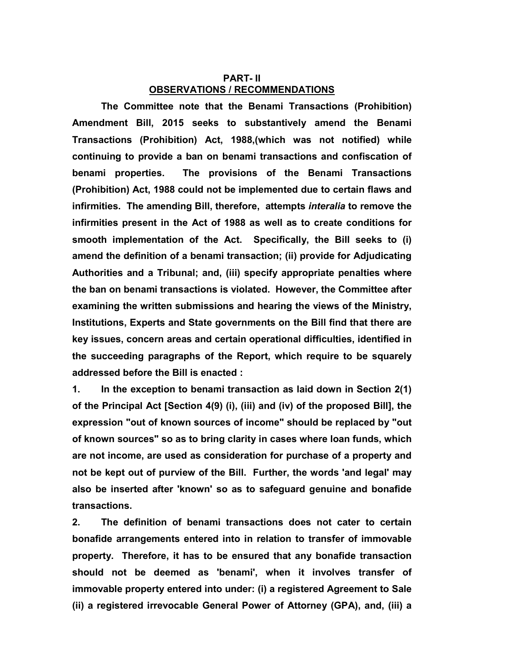## **PART- II OBSERVATIONS / RECOMMENDATIONS**

**The Committee note that the Benami Transactions (Prohibition) Amendment Bill, 2015 seeks to substantively amend the Benami Transactions (Prohibition) Act, 1988,(which was not notified) while continuing to provide a ban on benami transactions and confiscation of benami properties. The provisions of the Benami Transactions (Prohibition) Act, 1988 could not be implemented due to certain flaws and infirmities. The amending Bill, therefore, attempts** *interalia* **to remove the infirmities present in the Act of 1988 as well as to create conditions for smooth implementation of the Act. Specifically, the Bill seeks to (i) amend the definition of a benami transaction; (ii) provide for Adjudicating Authorities and a Tribunal; and, (iii) specify appropriate penalties where the ban on benami transactions is violated. However, the Committee after examining the written submissions and hearing the views of the Ministry, Institutions, Experts and State governments on the Bill find that there are key issues, concern areas and certain operational difficulties, identified in the succeeding paragraphs of the Report, which require to be squarely addressed before the Bill is enacted :**

**1. In the exception to benami transaction as laid down in Section 2(1) of the Principal Act [Section 4(9) (i), (iii) and (iv) of the proposed Bill], the expression "out of known sources of income" should be replaced by "out of known sources" so as to bring clarity in cases where loan funds, which are not income, are used as consideration for purchase of a property and not be kept out of purview of the Bill. Further, the words 'and legal' may also be inserted after 'known' so as to safeguard genuine and bonafide transactions.** 

**2. The definition of benami transactions does not cater to certain bonafide arrangements entered into in relation to transfer of immovable property. Therefore, it has to be ensured that any bonafide transaction should not be deemed as 'benami', when it involves transfer of immovable property entered into under: (i) a registered Agreement to Sale (ii) a registered irrevocable General Power of Attorney (GPA), and, (iii) a**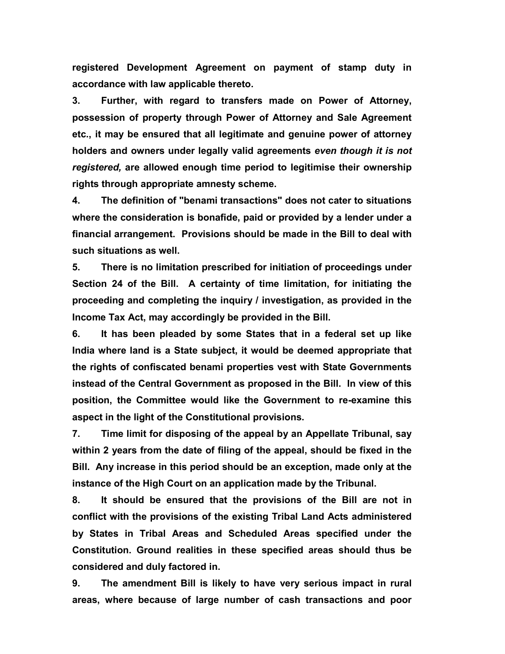**registered Development Agreement on payment of stamp duty in accordance with law applicable thereto.**

**3. Further, with regard to transfers made on Power of Attorney, possession of property through Power of Attorney and Sale Agreement etc., it may be ensured that all legitimate and genuine power of attorney holders and owners under legally valid agreements** *even though it is not registered,* **are allowed enough time period to legitimise their ownership rights through appropriate amnesty scheme.**

**4. The definition of "benami transactions" does not cater to situations where the consideration is bonafide, paid or provided by a lender under a financial arrangement. Provisions should be made in the Bill to deal with such situations as well.**

**5. There is no limitation prescribed for initiation of proceedings under Section 24 of the Bill. A certainty of time limitation, for initiating the proceeding and completing the inquiry / investigation, as provided in the Income Tax Act, may accordingly be provided in the Bill.**

**6. It has been pleaded by some States that in a federal set up like India where land is a State subject, it would be deemed appropriate that the rights of confiscated benami properties vest with State Governments instead of the Central Government as proposed in the Bill. In view of this position, the Committee would like the Government to re-examine this aspect in the light of the Constitutional provisions.**

**7. Time limit for disposing of the appeal by an Appellate Tribunal, say within 2 years from the date of filing of the appeal, should be fixed in the Bill. Any increase in this period should be an exception, made only at the instance of the High Court on an application made by the Tribunal.**

**8. It should be ensured that the provisions of the Bill are not in conflict with the provisions of the existing Tribal Land Acts administered by States in Tribal Areas and Scheduled Areas specified under the Constitution. Ground realities in these specified areas should thus be considered and duly factored in.**

**9. The amendment Bill is likely to have very serious impact in rural areas, where because of large number of cash transactions and poor**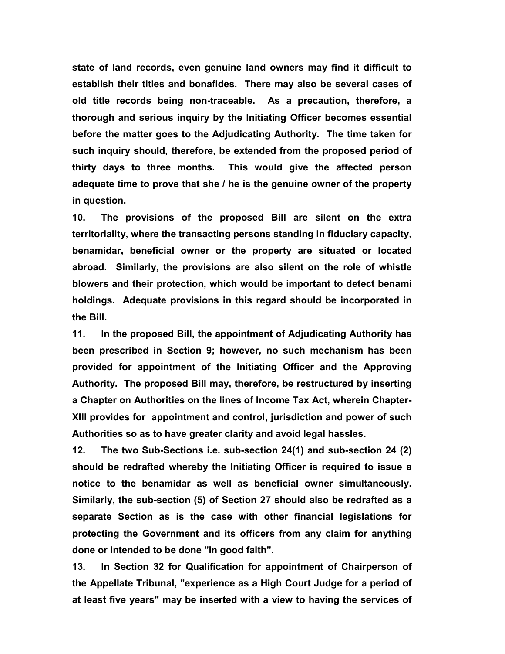**state of land records, even genuine land owners may find it difficult to establish their titles and bonafides. There may also be several cases of old title records being non-traceable. As a precaution, therefore, a thorough and serious inquiry by the Initiating Officer becomes essential before the matter goes to the Adjudicating Authority. The time taken for such inquiry should, therefore, be extended from the proposed period of thirty days to three months. This would give the affected person adequate time to prove that she / he is the genuine owner of the property in question.**

**10. The provisions of the proposed Bill are silent on the extra territoriality, where the transacting persons standing in fiduciary capacity, benamidar, beneficial owner or the property are situated or located abroad. Similarly, the provisions are also silent on the role of whistle blowers and their protection, which would be important to detect benami holdings. Adequate provisions in this regard should be incorporated in the Bill.**

**11. In the proposed Bill, the appointment of Adjudicating Authority has been prescribed in Section 9; however, no such mechanism has been provided for appointment of the Initiating Officer and the Approving Authority. The proposed Bill may, therefore, be restructured by inserting a Chapter on Authorities on the lines of Income Tax Act, wherein Chapter-XIII provides for appointment and control, jurisdiction and power of such Authorities so as to have greater clarity and avoid legal hassles.**

**12. The two Sub-Sections i.e. sub-section 24(1) and sub-section 24 (2) should be redrafted whereby the Initiating Officer is required to issue a notice to the benamidar as well as beneficial owner simultaneously. Similarly, the sub-section (5) of Section 27 should also be redrafted as a separate Section as is the case with other financial legislations for protecting the Government and its officers from any claim for anything done or intended to be done "in good faith".**

**13. In Section 32 for Qualification for appointment of Chairperson of the Appellate Tribunal, "experience as a High Court Judge for a period of at least five years" may be inserted with a view to having the services of**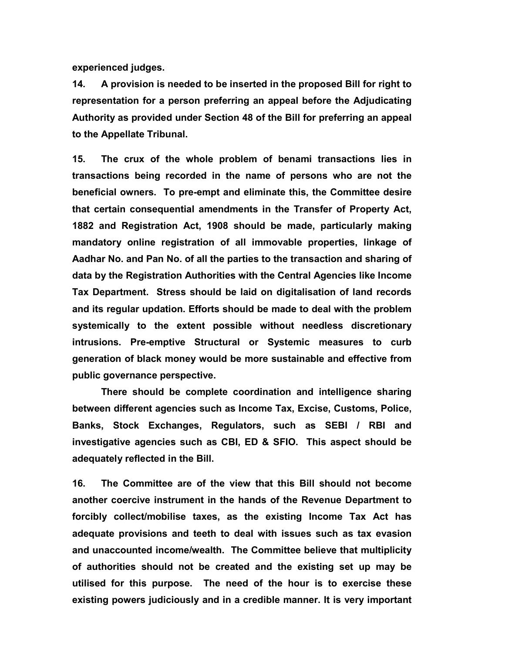**experienced judges.**

**14. A provision is needed to be inserted in the proposed Bill for right to representation for a person preferring an appeal before the Adjudicating Authority as provided under Section 48 of the Bill for preferring an appeal to the Appellate Tribunal.**

**15. The crux of the whole problem of benami transactions lies in transactions being recorded in the name of persons who are not the beneficial owners. To pre-empt and eliminate this, the Committee desire that certain consequential amendments in the Transfer of Property Act, 1882 and Registration Act, 1908 should be made, particularly making mandatory online registration of all immovable properties, linkage of Aadhar No. and Pan No. of all the parties to the transaction and sharing of data by the Registration Authorities with the Central Agencies like Income Tax Department. Stress should be laid on digitalisation of land records and its regular updation. Efforts should be made to deal with the problem systemically to the extent possible without needless discretionary intrusions. Pre-emptive Structural or Systemic measures to curb generation of black money would be more sustainable and effective from public governance perspective.**

**There should be complete coordination and intelligence sharing between different agencies such as Income Tax, Excise, Customs, Police, Banks, Stock Exchanges, Regulators, such as SEBI / RBI and investigative agencies such as CBI, ED & SFIO. This aspect should be adequately reflected in the Bill.**

**16. The Committee are of the view that this Bill should not become another coercive instrument in the hands of the Revenue Department to forcibly collect/mobilise taxes, as the existing Income Tax Act has adequate provisions and teeth to deal with issues such as tax evasion and unaccounted income/wealth. The Committee believe that multiplicity of authorities should not be created and the existing set up may be utilised for this purpose. The need of the hour is to exercise these existing powers judiciously and in a credible manner. It is very important**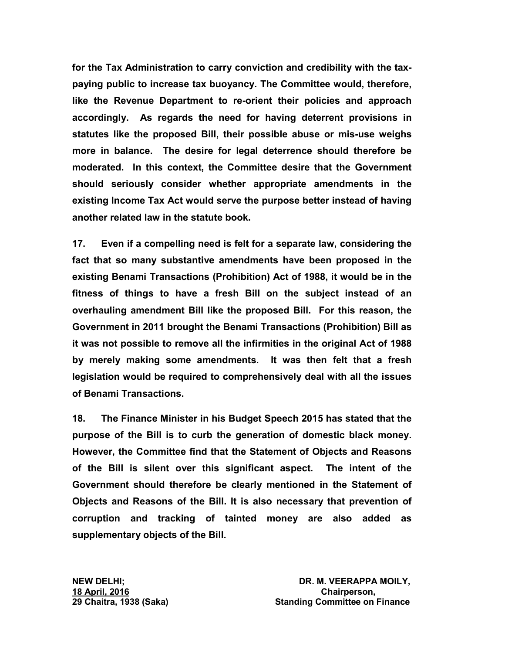**for the Tax Administration to carry conviction and credibility with the taxpaying public to increase tax buoyancy. The Committee would, therefore, like the Revenue Department to re-orient their policies and approach accordingly. As regards the need for having deterrent provisions in statutes like the proposed Bill, their possible abuse or mis-use weighs more in balance. The desire for legal deterrence should therefore be moderated. In this context, the Committee desire that the Government should seriously consider whether appropriate amendments in the existing Income Tax Act would serve the purpose better instead of having another related law in the statute book.**

**17. Even if a compelling need is felt for a separate law, considering the fact that so many substantive amendments have been proposed in the existing Benami Transactions (Prohibition) Act of 1988, it would be in the fitness of things to have a fresh Bill on the subject instead of an overhauling amendment Bill like the proposed Bill. For this reason, the Government in 2011 brought the Benami Transactions (Prohibition) Bill as it was not possible to remove all the infirmities in the original Act of 1988 by merely making some amendments. It was then felt that a fresh legislation would be required to comprehensively deal with all the issues of Benami Transactions.**

**18. The Finance Minister in his Budget Speech 2015 has stated that the purpose of the Bill is to curb the generation of domestic black money. However, the Committee find that the Statement of Objects and Reasons of the Bill is silent over this significant aspect. The intent of the Government should therefore be clearly mentioned in the Statement of Objects and Reasons of the Bill. It is also necessary that prevention of corruption and tracking of tainted money are also added as supplementary objects of the Bill.**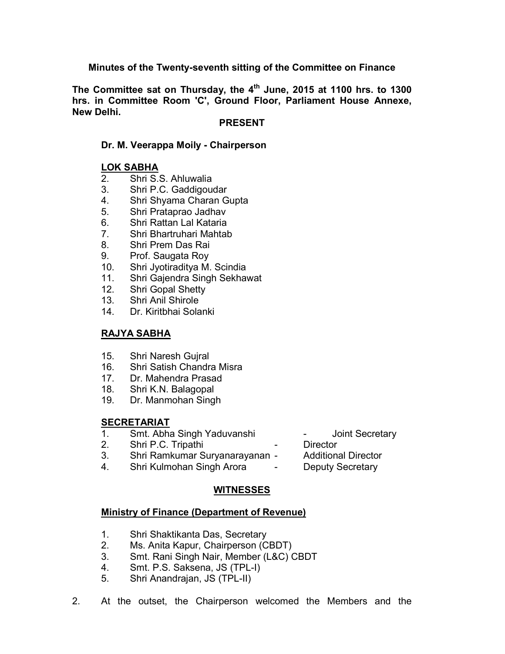## **Minutes of the Twenty-seventh sitting of the Committee on Finance**

The Committee sat on Thursday, the 4<sup>th</sup> June, 2015 at 1100 hrs. to 1300 **hrs. in Committee Room 'C', Ground Floor, Parliament House Annexe, New Delhi.**

### **PRESENT**

### **Dr. M. Veerappa Moily - Chairperson**

## **LOK SABHA**

- 2. Shri S.S. Ahluwalia
- 3. Shri P.C. Gaddigoudar
- 4. Shri Shyama Charan Gupta
- 5. Shri Prataprao Jadhav
- 6. Shri Rattan Lal Kataria
- 7. Shri Bhartruhari Mahtab
- 8. Shri Prem Das Rai
- 9. Prof. Saugata Roy
- 10. Shri Jyotiraditya M. Scindia
- 11. Shri Gajendra Singh Sekhawat
- 12. Shri Gopal Shetty
- 13. Shri Anil Shirole
- 14. Dr. Kiritbhai Solanki

## **RAJYA SABHA**

- 15. Shri Naresh Gujral
- 16. Shri Satish Chandra Misra
- 17. Dr. Mahendra Prasad
- 18. Shri K.N. Balagopal
- 19. Dr. Manmohan Singh

## **SECRETARIAT**

- 1. Smt. Abha Singh Yaduvanshi Joint Secretary
- 2. Shri P.C. Tripathi  **Director**
- 3. Shri Ramkumar Suryanarayanan Additional Director
- 4. Shri Kulmohan Singh Arora Deputy Secretary

## **WITNESSES**

### **Ministry of Finance (Department of Revenue)**

- 1. Shri Shaktikanta Das, Secretary
- 2. Ms. Anita Kapur, Chairperson (CBDT)
- 3. Smt. Rani Singh Nair, Member (L&C) CBDT
- 4. Smt. P.S. Saksena, JS (TPL-I)
- 5. Shri Anandrajan, JS (TPL-II)
- 2. At the outset, the Chairperson welcomed the Members and the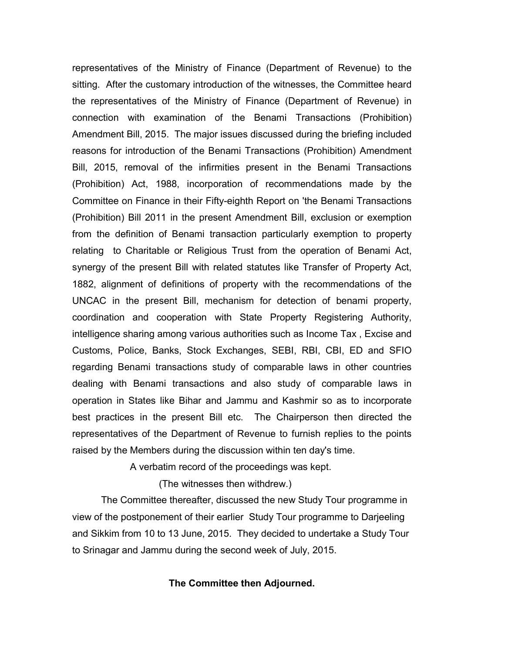representatives of the Ministry of Finance (Department of Revenue) to the sitting. After the customary introduction of the witnesses, the Committee heard the representatives of the Ministry of Finance (Department of Revenue) in connection with examination of the Benami Transactions (Prohibition) Amendment Bill, 2015. The major issues discussed during the briefing included reasons for introduction of the Benami Transactions (Prohibition) Amendment Bill, 2015, removal of the infirmities present in the Benami Transactions (Prohibition) Act, 1988, incorporation of recommendations made by the Committee on Finance in their Fifty-eighth Report on 'the Benami Transactions (Prohibition) Bill 2011 in the present Amendment Bill, exclusion or exemption from the definition of Benami transaction particularly exemption to property relating to Charitable or Religious Trust from the operation of Benami Act, synergy of the present Bill with related statutes like Transfer of Property Act, 1882, alignment of definitions of property with the recommendations of the UNCAC in the present Bill, mechanism for detection of benami property, coordination and cooperation with State Property Registering Authority, intelligence sharing among various authorities such as Income Tax , Excise and Customs, Police, Banks, Stock Exchanges, SEBI, RBI, CBI, ED and SFIO regarding Benami transactions study of comparable laws in other countries dealing with Benami transactions and also study of comparable laws in operation in States like Bihar and Jammu and Kashmir so as to incorporate best practices in the present Bill etc. The Chairperson then directed the representatives of the Department of Revenue to furnish replies to the points raised by the Members during the discussion within ten day's time.

A verbatim record of the proceedings was kept.

(The witnesses then withdrew.)

The Committee thereafter, discussed the new Study Tour programme in view of the postponement of their earlier Study Tour programme to Darjeeling and Sikkim from 10 to 13 June, 2015. They decided to undertake a Study Tour to Srinagar and Jammu during the second week of July, 2015.

### **The Committee then Adjourned.**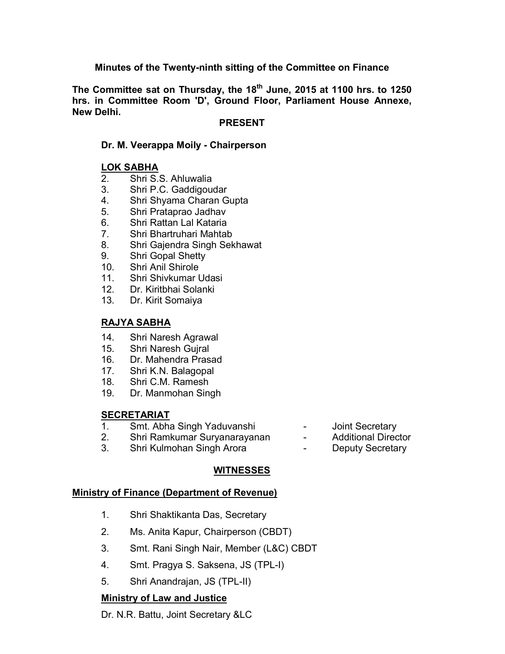## **Minutes of the Twenty-ninth sitting of the Committee on Finance**

**The Committee sat on Thursday, the 18th June, 2015 at 1100 hrs. to 1250 hrs. in Committee Room 'D', Ground Floor, Parliament House Annexe, New Delhi.**

### **PRESENT**

## **Dr. M. Veerappa Moily - Chairperson**

## **LOK SABHA**

- 2. Shri S.S. Ahluwalia
- 3. Shri P.C. Gaddigoudar
- 4. Shri Shyama Charan Gupta
- 5. Shri Prataprao Jadhav
- 6. Shri Rattan Lal Kataria
- 7. Shri Bhartruhari Mahtab
- 8. Shri Gajendra Singh Sekhawat
- 9. Shri Gopal Shetty
- 10. Shri Anil Shirole
- 11. Shri Shivkumar Udasi
- 12. Dr. Kiritbhai Solanki
- 13. Dr. Kirit Somaiya

## **RAJYA SABHA**

- 14. Shri Naresh Agrawal
- 15. Shri Naresh Gujral
- 16. Dr. Mahendra Prasad
- 17. Shri K.N. Balagopal
- 18. Shri C.M. Ramesh
- 19. Dr. Manmohan Singh

## **SECRETARIAT**

- 1. Smt. Abha Singh Yaduvanshi Joint Secretary
- 2. Shri Ramkumar Suryanarayanan Additional Director
- 3. Shri Kulmohan Singh Arora  **Deputy Secretary**

## **WITNESSES**

### **Ministry of Finance (Department of Revenue)**

- 1. Shri Shaktikanta Das, Secretary
- 2. Ms. Anita Kapur, Chairperson (CBDT)
- 3. Smt. Rani Singh Nair, Member (L&C) CBDT
- 4. Smt. Pragya S. Saksena, JS (TPL-I)
- 5. Shri Anandrajan, JS (TPL-II)

## **Ministry of Law and Justice**

Dr. N.R. Battu, Joint Secretary &LC

- 
- 
-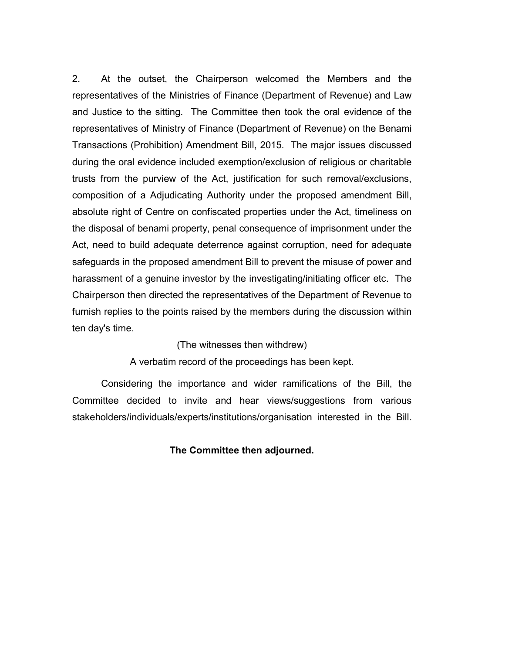2. At the outset, the Chairperson welcomed the Members and the representatives of the Ministries of Finance (Department of Revenue) and Law and Justice to the sitting. The Committee then took the oral evidence of the representatives of Ministry of Finance (Department of Revenue) on the Benami Transactions (Prohibition) Amendment Bill, 2015. The major issues discussed during the oral evidence included exemption/exclusion of religious or charitable trusts from the purview of the Act, justification for such removal/exclusions, composition of a Adjudicating Authority under the proposed amendment Bill, absolute right of Centre on confiscated properties under the Act, timeliness on the disposal of benami property, penal consequence of imprisonment under the Act, need to build adequate deterrence against corruption, need for adequate safeguards in the proposed amendment Bill to prevent the misuse of power and harassment of a genuine investor by the investigating/initiating officer etc. The Chairperson then directed the representatives of the Department of Revenue to furnish replies to the points raised by the members during the discussion within ten day's time.

### (The witnesses then withdrew)

A verbatim record of the proceedings has been kept.

Considering the importance and wider ramifications of the Bill, the Committee decided to invite and hear views/suggestions from various stakeholders/individuals/experts/institutions/organisation interested in the Bill.

### **The Committee then adjourned.**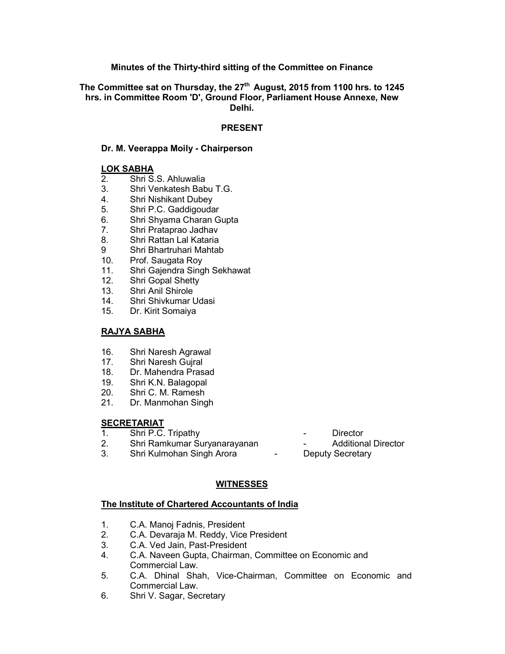### **Minutes of the Thirty-third sitting of the Committee on Finance**

### **The Committee sat on Thursday, the 27th August, 2015 from 1100 hrs. to 1245 hrs. in Committee Room 'D', Ground Floor, Parliament House Annexe, New Delhi.**

### **PRESENT**

### **Dr. M. Veerappa Moily - Chairperson**

# **LOK SABHA**<br>2. Shri S

- 2. Shri S.S. Ahluwalia
- 3. Shri Venkatesh Babu T.G.
- 4. Shri Nishikant Dubey
- 5. Shri P.C. Gaddigoudar
- 6. Shri Shyama Charan Gupta
- 7. Shri Prataprao Jadhav
- 8. Shri Rattan Lal Kataria
- 9 Shri Bhartruhari Mahtab
- 10. Prof. Saugata Roy
- 11. Shri Gajendra Singh Sekhawat
- 12. Shri Gopal Shetty
- 13. Shri Anil Shirole
- 14. Shri Shivkumar Udasi
- 15. Dr. Kirit Somaiya

### **RAJYA SABHA**

- 16. Shri Naresh Agrawal<br>17. Shri Naresh Guiral
- 17. Shri Naresh Gujral
- 18. Dr. Mahendra Prasad
- 19. Shri K.N. Balagopal
- 20. Shri C. M. Ramesh
- 21. Dr. Manmohan Singh

# **SECRETARIAT**<br>1. Shri P.C.

- 1. Shri P.C. Tripathy Director
- 2. Shri Ramkumar Suryanarayanan Additional Director<br>3. Shri Kulmohan Singh Arora Deputy Secretary
- 3. Shri Kulmohan Singh Arora

## **WITNESSES**

### **The Institute of Chartered Accountants of India**

- 1. C.A. Manoj Fadnis, President
- 2. C.A. Devaraja M. Reddy, Vice President
- 3. C.A. Ved Jain, Past-President<br>4. C.A. Naveen Gupta. Chairman
- 4. C.A. Naveen Gupta, Chairman, Committee on Economic and Commercial Law.
- 5. C.A. Dhinal Shah, Vice-Chairman, Committee on Economic and Commercial Law.
- 6. Shri V. Sagar, Secretary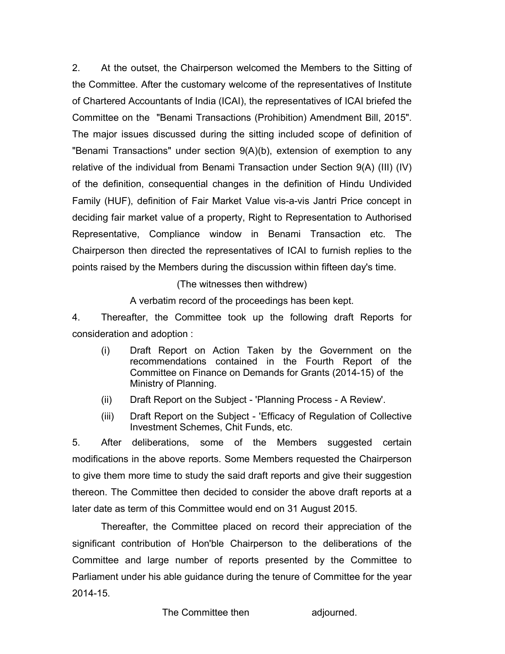2. At the outset, the Chairperson welcomed the Members to the Sitting of the Committee. After the customary welcome of the representatives of Institute of Chartered Accountants of India (ICAI), the representatives of ICAI briefed the Committee on the "Benami Transactions (Prohibition) Amendment Bill, 2015". The major issues discussed during the sitting included scope of definition of "Benami Transactions" under section 9(A)(b), extension of exemption to any relative of the individual from Benami Transaction under Section 9(A) (III) (IV) of the definition, consequential changes in the definition of Hindu Undivided Family (HUF), definition of Fair Market Value vis-a-vis Jantri Price concept in deciding fair market value of a property, Right to Representation to Authorised Representative, Compliance window in Benami Transaction etc. The Chairperson then directed the representatives of ICAI to furnish replies to the points raised by the Members during the discussion within fifteen day's time.

(The witnesses then withdrew)

A verbatim record of the proceedings has been kept.

4. Thereafter, the Committee took up the following draft Reports for consideration and adoption :

- (i) Draft Report on Action Taken by the Government on the recommendations contained in the Fourth Report of the Committee on Finance on Demands for Grants (2014-15) of the Ministry of Planning.
- (ii) Draft Report on the Subject 'Planning Process A Review'.
- (iii) Draft Report on the Subject 'Efficacy of Regulation of Collective Investment Schemes, Chit Funds, etc.

5. After deliberations, some of the Members suggested certain modifications in the above reports. Some Members requested the Chairperson to give them more time to study the said draft reports and give their suggestion thereon. The Committee then decided to consider the above draft reports at a later date as term of this Committee would end on 31 August 2015.

Thereafter, the Committee placed on record their appreciation of the significant contribution of Hon'ble Chairperson to the deliberations of the Committee and large number of reports presented by the Committee to Parliament under his able guidance during the tenure of Committee for the year 2014-15.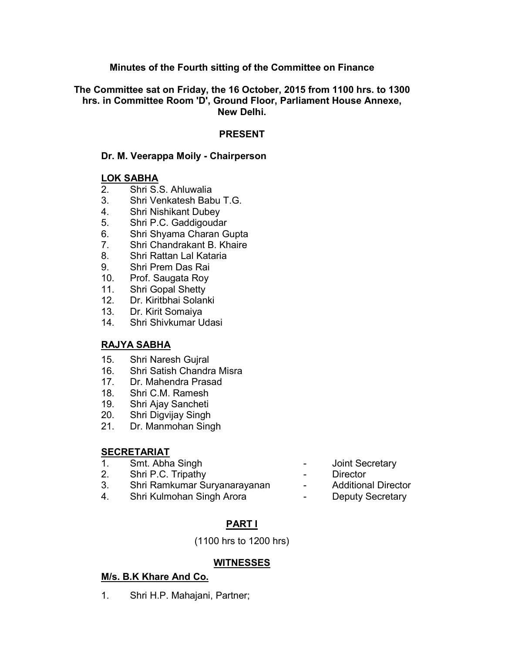## **Minutes of the Fourth sitting of the Committee on Finance**

**The Committee sat on Friday, the 16 October, 2015 from 1100 hrs. to 1300 hrs. in Committee Room 'D', Ground Floor, Parliament House Annexe, New Delhi.**

### **PRESENT**

## **Dr. M. Veerappa Moily - Chairperson**

### **LOK SABHA**

- 2. Shri S.S. Ahluwalia
- 3. Shri Venkatesh Babu T.G.
- 4. Shri Nishikant Dubey
- 5. Shri P.C. Gaddigoudar
- 6. Shri Shyama Charan Gupta
- 7. Shri Chandrakant B. Khaire
- 8. Shri Rattan Lal Kataria
- 9. Shri Prem Das Rai
- 10. Prof. Saugata Roy
- 11. Shri Gopal Shetty
- 12. Dr. Kiritbhai Solanki
- 13. Dr. Kirit Somaiya
- 14. Shri Shivkumar Udasi

## **RAJYA SABHA**

- 15. Shri Naresh Gujral
- 16. Shri Satish Chandra Misra
- 17. Dr. Mahendra Prasad
- 18. Shri C.M. Ramesh
- 19. Shri Ajay Sancheti
- 20. Shri Digvijay Singh
- 21. Dr. Manmohan Singh

## **SECRETARIAT**

- 1. Smt. Abha Singh **1. In the Secretary** of the Secretary
- 2. Shri P.C. Tripathy  **Director**
- 3. Shri Ramkumar Suryanarayanan Additional Director
- 4. Shri Kulmohan Singh Arora  **Changle Controller Controller** Deputy Secretary
- 
- 
- 
- 

## **PART I**

(1100 hrs to 1200 hrs)

## **WITNESSES**

## **M/s. B.K Khare And Co.**

1. Shri H.P. Mahajani, Partner;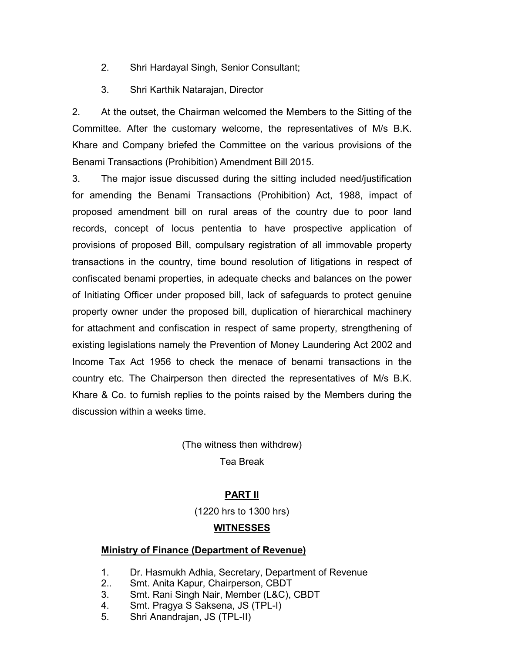- 2. Shri Hardayal Singh, Senior Consultant;
- 3. Shri Karthik Natarajan, Director

2. At the outset, the Chairman welcomed the Members to the Sitting of the Committee. After the customary welcome, the representatives of M/s B.K. Khare and Company briefed the Committee on the various provisions of the Benami Transactions (Prohibition) Amendment Bill 2015.

3. The major issue discussed during the sitting included need/justification for amending the Benami Transactions (Prohibition) Act, 1988, impact of proposed amendment bill on rural areas of the country due to poor land records, concept of locus pententia to have prospective application of provisions of proposed Bill, compulsary registration of all immovable property transactions in the country, time bound resolution of litigations in respect of confiscated benami properties, in adequate checks and balances on the power of Initiating Officer under proposed bill, lack of safeguards to protect genuine property owner under the proposed bill, duplication of hierarchical machinery for attachment and confiscation in respect of same property, strengthening of existing legislations namely the Prevention of Money Laundering Act 2002 and Income Tax Act 1956 to check the menace of benami transactions in the country etc. The Chairperson then directed the representatives of M/s B.K. Khare & Co. to furnish replies to the points raised by the Members during the discussion within a weeks time.

> (The witness then withdrew) Tea Break

## **PART II**

(1220 hrs to 1300 hrs)

## **WITNESSES**

## **Ministry of Finance (Department of Revenue)**

- 1. Dr. Hasmukh Adhia, Secretary, Department of Revenue
- 2.. Smt. Anita Kapur, Chairperson, CBDT
- 3. Smt. Rani Singh Nair, Member (L&C), CBDT
- 4. Smt. Pragya S Saksena, JS (TPL-I)
- 5. Shri Anandrajan, JS (TPL-II)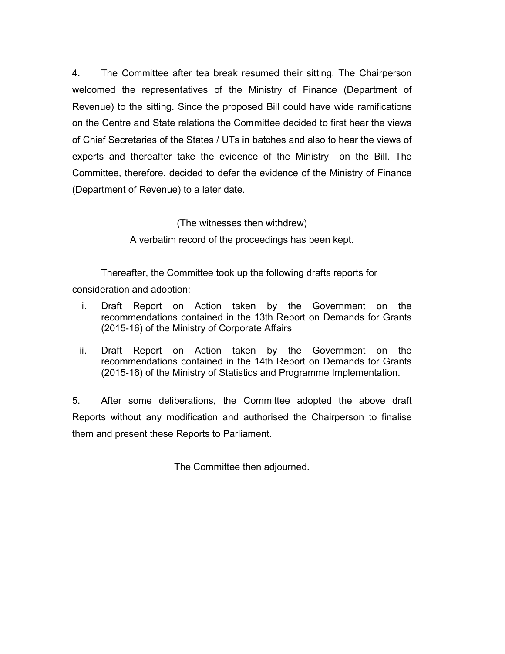4. The Committee after tea break resumed their sitting. The Chairperson welcomed the representatives of the Ministry of Finance (Department of Revenue) to the sitting. Since the proposed Bill could have wide ramifications on the Centre and State relations the Committee decided to first hear the views of Chief Secretaries of the States / UTs in batches and also to hear the views of experts and thereafter take the evidence of the Ministry on the Bill. The Committee, therefore, decided to defer the evidence of the Ministry of Finance (Department of Revenue) to a later date.

(The witnesses then withdrew)

A verbatim record of the proceedings has been kept.

Thereafter, the Committee took up the following drafts reports for consideration and adoption:

- i. Draft Report on Action taken by the Government on the recommendations contained in the 13th Report on Demands for Grants (2015-16) of the Ministry of Corporate Affairs
- ii. Draft Report on Action taken by the Government on the recommendations contained in the 14th Report on Demands for Grants (2015-16) of the Ministry of Statistics and Programme Implementation.

5. After some deliberations, the Committee adopted the above draft Reports without any modification and authorised the Chairperson to finalise them and present these Reports to Parliament.

The Committee then adjourned.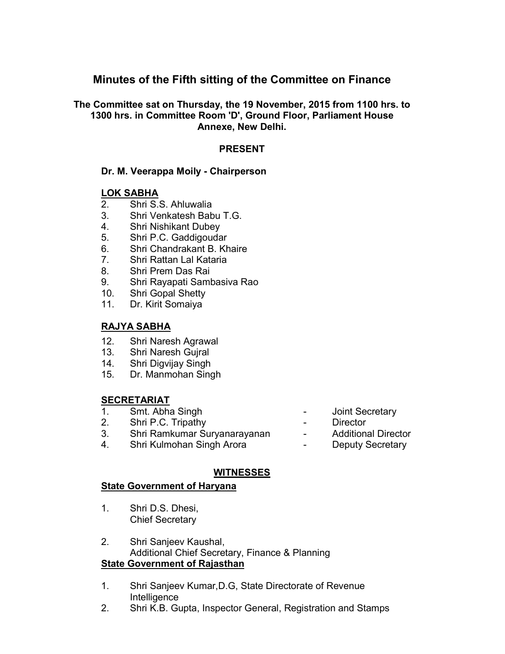## **Minutes of the Fifth sitting of the Committee on Finance**

## **The Committee sat on Thursday, the 19 November, 2015 from 1100 hrs. to 1300 hrs. in Committee Room 'D', Ground Floor, Parliament House Annexe, New Delhi.**

## **PRESENT**

## **Dr. M. Veerappa Moily - Chairperson**

## **LOK SABHA**

- 2. Shri S.S. Ahluwalia
- 3. Shri Venkatesh Babu T.G.
- 4. Shri Nishikant Dubey
- 5. Shri P.C. Gaddigoudar
- 6. Shri Chandrakant B. Khaire
- 7. Shri Rattan Lal Kataria
- 8. Shri Prem Das Rai
- 9. Shri Rayapati Sambasiva Rao
- 10. Shri Gopal Shetty
- 11. Dr. Kirit Somaiya

## **RAJYA SABHA**

- 12. Shri Naresh Agrawal
- 13. Shri Naresh Gujral
- 14. Shri Digvijay Singh
- 15. Dr. Manmohan Singh

### **SECRETARIAT**

- 1. Smt. Abha Singh **-** Joint Secretary<br>2. Shri P.C. Tripathy **-** Pirector
- 2. Shri P.C. Tripathy Director
- 3. Shri Ramkumar Suryanarayanan Additional Director
- 4. Shri Kulmohan Singh Arora  **Changle Controller Controller** Deputy Secretary
- 
- 
- 
- 

## **WITNESSES**

### **State Government of Haryana**

- 1. Shri D.S. Dhesi, Chief Secretary
- 2. Shri Sanjeev Kaushal, Additional Chief Secretary, Finance & Planning **State Government of Rajasthan**
- 1. Shri Sanjeev Kumar,D.G, State Directorate of Revenue Intelligence
- 2. Shri K.B. Gupta, Inspector General, Registration and Stamps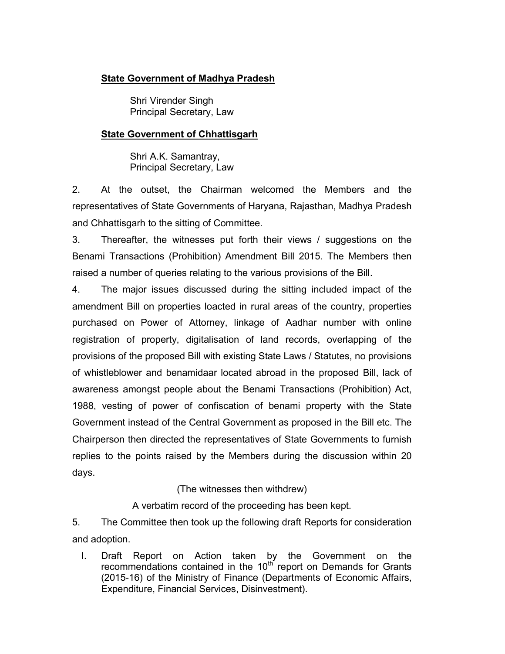## **State Government of Madhya Pradesh**

Shri Virender Singh Principal Secretary, Law

## **State Government of Chhattisgarh**

Shri A.K. Samantray, Principal Secretary, Law

2. At the outset, the Chairman welcomed the Members and the representatives of State Governments of Haryana, Rajasthan, Madhya Pradesh and Chhattisgarh to the sitting of Committee.

3. Thereafter, the witnesses put forth their views / suggestions on the Benami Transactions (Prohibition) Amendment Bill 2015. The Members then raised a number of queries relating to the various provisions of the Bill.

4. The major issues discussed during the sitting included impact of the amendment Bill on properties loacted in rural areas of the country, properties purchased on Power of Attorney, linkage of Aadhar number with online registration of property, digitalisation of land records, overlapping of the provisions of the proposed Bill with existing State Laws / Statutes, no provisions of whistleblower and benamidaar located abroad in the proposed Bill, lack of awareness amongst people about the Benami Transactions (Prohibition) Act, 1988, vesting of power of confiscation of benami property with the State Government instead of the Central Government as proposed in the Bill etc. The Chairperson then directed the representatives of State Governments to furnish replies to the points raised by the Members during the discussion within 20 days.

## (The witnesses then withdrew)

A verbatim record of the proceeding has been kept.

5. The Committee then took up the following draft Reports for consideration and adoption.

I. Draft Report on Action taken by the Government on the recommendations contained in the  $10^{th}$  report on Demands for Grants (2015-16) of the Ministry of Finance (Departments of Economic Affairs, Expenditure, Financial Services, Disinvestment).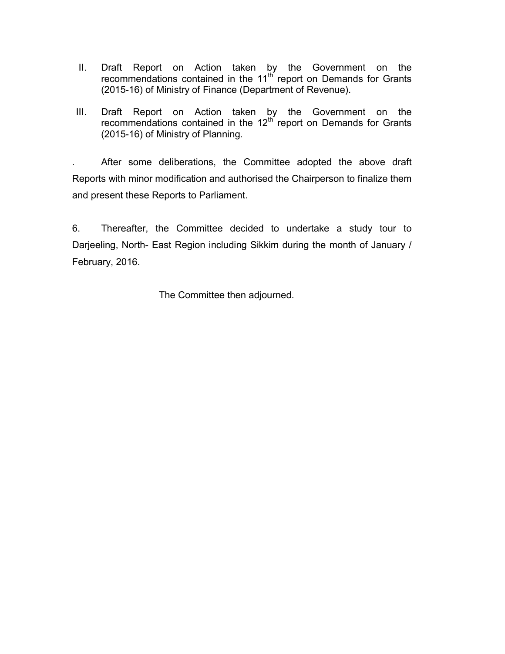- II. Draft Report on Action taken by the Government on the recommendations contained in the  $11<sup>th</sup>$  report on Demands for Grants (2015-16) of Ministry of Finance (Department of Revenue).
- III. Draft Report on Action taken by the Government on the recommendations contained in the  $12<sup>th</sup>$  report on Demands for Grants (2015-16) of Ministry of Planning.

. After some deliberations, the Committee adopted the above draft Reports with minor modification and authorised the Chairperson to finalize them and present these Reports to Parliament.

6. Thereafter, the Committee decided to undertake a study tour to Darjeeling, North- East Region including Sikkim during the month of January / February, 2016.

The Committee then adjourned.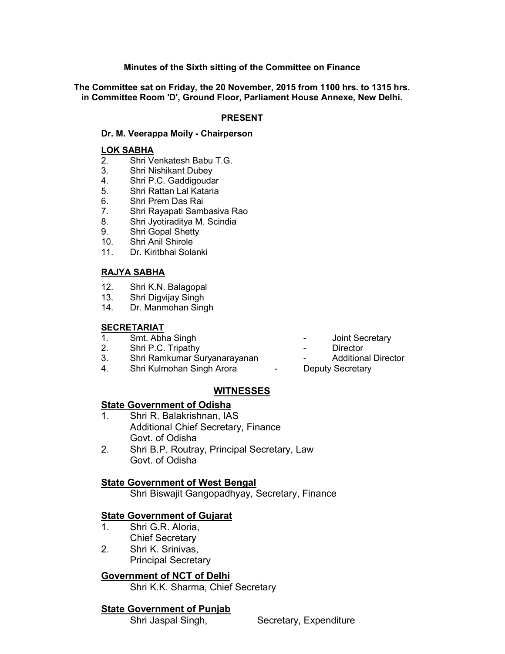### **Minutes of the Sixth sitting of the Committee on Finance**

**The Committee sat on Friday, the 20 November, 2015 from 1100 hrs. to 1315 hrs. in Committee Room 'D', Ground Floor, Parliament House Annexe, New Delhi.**

### **PRESENT**

### **Dr. M. Veerappa Moily - Chairperson**

### **LOK SABHA**

- 2. Shri Venkatesh Babu T.G.
- 3. Shri Nishikant Dubey
- 4. Shri P.C. Gaddigoudar
- 5. Shri Rattan Lal Kataria
- 6. Shri Prem Das Rai
- 7. Shri Rayapati Sambasiva Rao
- 8. Shri Jyotiraditya M. Scindia
- 9. Shri Gopal Shetty
- 10. Shri Anil Shirole
- 11. Dr. Kiritbhai Solanki

### **RAJYA SABHA**

- 12. Shri K.N. Balagopal
- 13. Shri Digvijay Singh
- 14. Dr. Manmohan Singh

### **SECRETARIAT**

- 1. Smt. Abha Singh **1. Smt. Abha Singh 1. Smt. Abha Singh 1. Solut** Secretary
- 2. Shri P.C. Tripathy **Canadian Contract Contract Contract Contract Contract Contract Contract Contract Contract Contract Contract Contract Contract Contract Contract Contract Contract Contract Contract Contract Contract C**
- 3. Shri Ramkumar Suryanarayanan Theoreton Additional Director
- 4. Shri Kulmohan Singh Arora  **Deputy Secretary**
- 
- 
- -

### **WITNESSES**

### **State Government of Odisha**

- 1. Shri R. Balakrishnan, IAS Additional Chief Secretary, Finance Govt. of Odisha
- 2. Shri B.P. Routray, Principal Secretary, Law Govt. of Odisha

### **State Government of West Bengal**

Shri Biswajit Gangopadhyay, Secretary, Finance

### **State Government of Gujarat**

- 1. Shri G.R. Aloria, Chief Secretary
- 2. Shri K. Srinivas, Principal Secretary

## **Government of NCT of Delhi**

Shri K.K. Sharma, Chief Secretary

## **State Government of Punjab**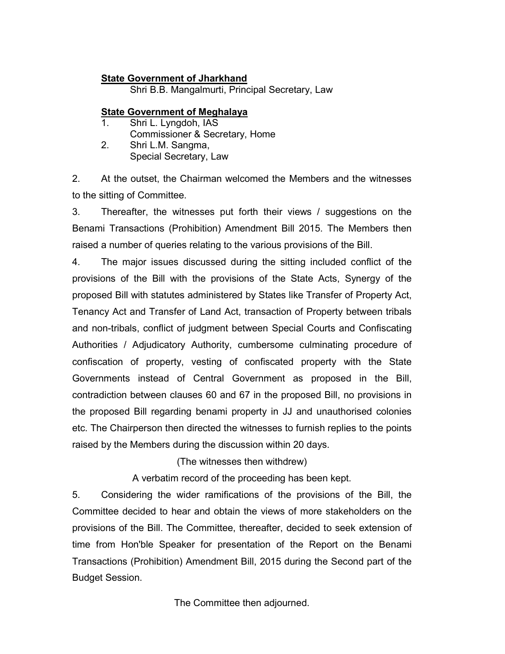## **State Government of Jharkhand**

Shri B.B. Mangalmurti, Principal Secretary, Law

## **State Government of Meghalaya**

1. Shri L. Lyngdoh, IAS Commissioner & Secretary, Home 2. Shri L.M. Sangma, Special Secretary, Law

2. At the outset, the Chairman welcomed the Members and the witnesses to the sitting of Committee.

3. Thereafter, the witnesses put forth their views / suggestions on the Benami Transactions (Prohibition) Amendment Bill 2015. The Members then raised a number of queries relating to the various provisions of the Bill.

4. The major issues discussed during the sitting included conflict of the provisions of the Bill with the provisions of the State Acts, Synergy of the proposed Bill with statutes administered by States like Transfer of Property Act, Tenancy Act and Transfer of Land Act, transaction of Property between tribals and non-tribals, conflict of judgment between Special Courts and Confiscating Authorities / Adjudicatory Authority, cumbersome culminating procedure of confiscation of property, vesting of confiscated property with the State Governments instead of Central Government as proposed in the Bill, contradiction between clauses 60 and 67 in the proposed Bill, no provisions in the proposed Bill regarding benami property in JJ and unauthorised colonies etc. The Chairperson then directed the witnesses to furnish replies to the points raised by the Members during the discussion within 20 days.

(The witnesses then withdrew)

A verbatim record of the proceeding has been kept.

5. Considering the wider ramifications of the provisions of the Bill, the Committee decided to hear and obtain the views of more stakeholders on the provisions of the Bill. The Committee, thereafter, decided to seek extension of time from Hon'ble Speaker for presentation of the Report on the Benami Transactions (Prohibition) Amendment Bill, 2015 during the Second part of the Budget Session.

The Committee then adjourned.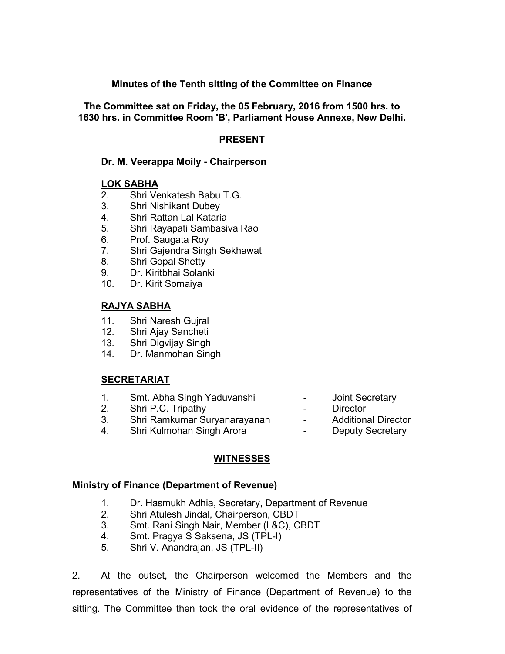## **Minutes of the Tenth sitting of the Committee on Finance**

**The Committee sat on Friday, the 05 February, 2016 from 1500 hrs. to 1630 hrs. in Committee Room 'B', Parliament House Annexe, New Delhi.**

## **PRESENT**

## **Dr. M. Veerappa Moily - Chairperson**

## **LOK SABHA**

- 2. Shri Venkatesh Babu T.G.
- 3. Shri Nishikant Dubey
- 4. Shri Rattan Lal Kataria
- 5. Shri Rayapati Sambasiva Rao
- 6. Prof. Saugata Roy
- 7. Shri Gajendra Singh Sekhawat
- 8. Shri Gopal Shetty
- 9. Dr. Kiritbhai Solanki
- 10. Dr. Kirit Somaiya

## **RAJYA SABHA**

- 11. Shri Naresh Gujral
- 12. Shri Ajay Sancheti
- 13. Shri Digvijay Singh
- 14. Dr. Manmohan Singh

## **SECRETARIAT**

- 1. Smt. Abha Singh Yaduvanshi Joint Secretary
- 2. Shri P.C. Tripathy **Canadian Contract Contract Contract Contract Contract Contract Contract Contract Contract Contract Contract Contract Contract Contract Contract Contract Contract Contract Contract Contract Contract C**
- 3. Shri Ramkumar Suryanarayanan Additional Director
- 4. Shri Kulmohan Singh Arora  **Charlach Charlach Deputy Secretary**
- 
- 
- -

## **WITNESSES**

### **Ministry of Finance (Department of Revenue)**

- 1. Dr. Hasmukh Adhia, Secretary, Department of Revenue
- 2. Shri Atulesh Jindal, Chairperson, CBDT
- 3. Smt. Rani Singh Nair, Member (L&C), CBDT
- 4. Smt. Pragya S Saksena, JS (TPL-I)
- 5. Shri V. Anandrajan, JS (TPL-II)

2. At the outset, the Chairperson welcomed the Members and the representatives of the Ministry of Finance (Department of Revenue) to the sitting. The Committee then took the oral evidence of the representatives of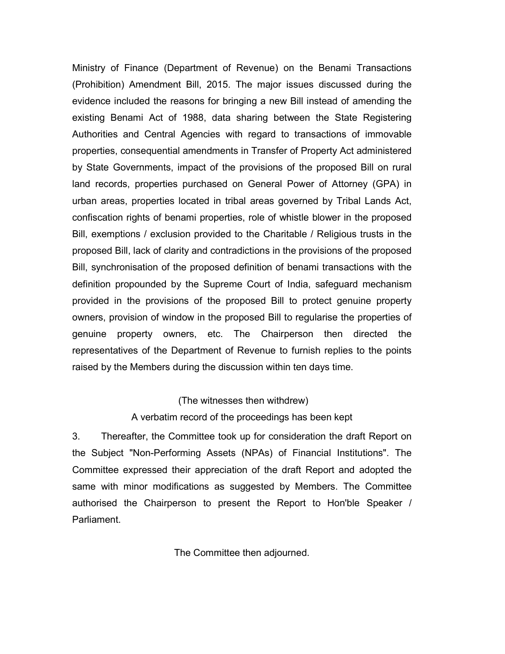Ministry of Finance (Department of Revenue) on the Benami Transactions (Prohibition) Amendment Bill, 2015. The major issues discussed during the evidence included the reasons for bringing a new Bill instead of amending the existing Benami Act of 1988, data sharing between the State Registering Authorities and Central Agencies with regard to transactions of immovable properties, consequential amendments in Transfer of Property Act administered by State Governments, impact of the provisions of the proposed Bill on rural land records, properties purchased on General Power of Attorney (GPA) in urban areas, properties located in tribal areas governed by Tribal Lands Act, confiscation rights of benami properties, role of whistle blower in the proposed Bill, exemptions / exclusion provided to the Charitable / Religious trusts in the proposed Bill, lack of clarity and contradictions in the provisions of the proposed Bill, synchronisation of the proposed definition of benami transactions with the definition propounded by the Supreme Court of India, safeguard mechanism provided in the provisions of the proposed Bill to protect genuine property owners, provision of window in the proposed Bill to regularise the properties of genuine property owners, etc. The Chairperson then directed the representatives of the Department of Revenue to furnish replies to the points raised by the Members during the discussion within ten days time.

### (The witnesses then withdrew)

### A verbatim record of the proceedings has been kept

3. Thereafter, the Committee took up for consideration the draft Report on the Subject "Non-Performing Assets (NPAs) of Financial Institutions". The Committee expressed their appreciation of the draft Report and adopted the same with minor modifications as suggested by Members. The Committee authorised the Chairperson to present the Report to Hon'ble Speaker / **Parliament** 

The Committee then adjourned.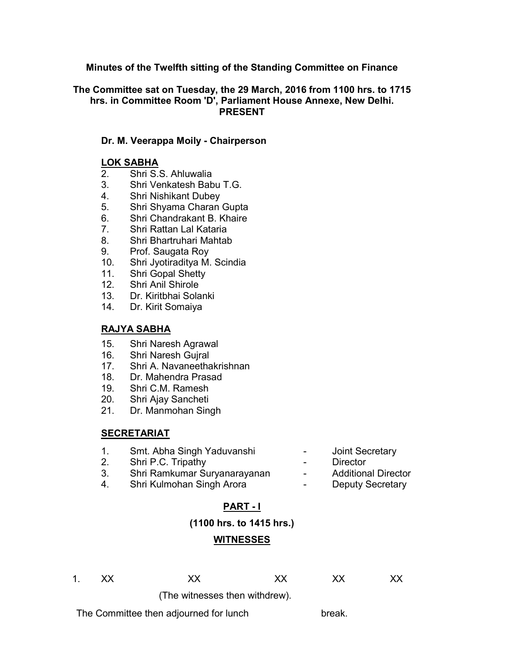## **Minutes of the Twelfth sitting of the Standing Committee on Finance**

### **The Committee sat on Tuesday, the 29 March, 2016 from 1100 hrs. to 1715 hrs. in Committee Room 'D', Parliament House Annexe, New Delhi. PRESENT**

### **Dr. M. Veerappa Moily - Chairperson**

### **LOK SABHA**

- 2. Shri S.S. Ahluwalia
- 3. Shri Venkatesh Babu T.G.
- 4. Shri Nishikant Dubey
- 5. Shri Shyama Charan Gupta
- 6. Shri Chandrakant B. Khaire
- 7. Shri Rattan Lal Kataria
- 8. Shri Bhartruhari Mahtab
- 9. Prof. Saugata Roy
- 10. Shri Jyotiraditya M. Scindia
- 11. Shri Gopal Shetty
- 12. Shri Anil Shirole
- 13. Dr. Kiritbhai Solanki
- 14. Dr. Kirit Somaiya

### **RAJYA SABHA**

- 15. Shri Naresh Agrawal
- 16. Shri Naresh Gujral
- 17. Shri A. Navaneethakrishnan
- 18. Dr. Mahendra Prasad
- 19. Shri C.M. Ramesh
- 20. Shri Ajay Sancheti
- 21. Dr. Manmohan Singh

### **SECRETARIAT**

- 1. Smt. Abha Singh Yaduvanshi Joint Secretary
- 2. Shri P.C. Tripathy **Canadian Contract Contract Contract Contract Contract Contract Contract Contract Contract Contract Contract Contract Contract Contract Contract Contract Contract Contract Contract Contract Contract C**
- -
- 3. Shri Ramkumar Suryanarayanan Additional Director
- 4. Shri Kulmohan Singh Arora  **Deputy Secretary**
- 
- -

## **PART - I**

### **(1100 hrs. to 1415 hrs.)**

### **WITNESSES**

1. XX XX XX XX XX

(The witnesses then withdrew).

The Committee then adjourned for lunch break.